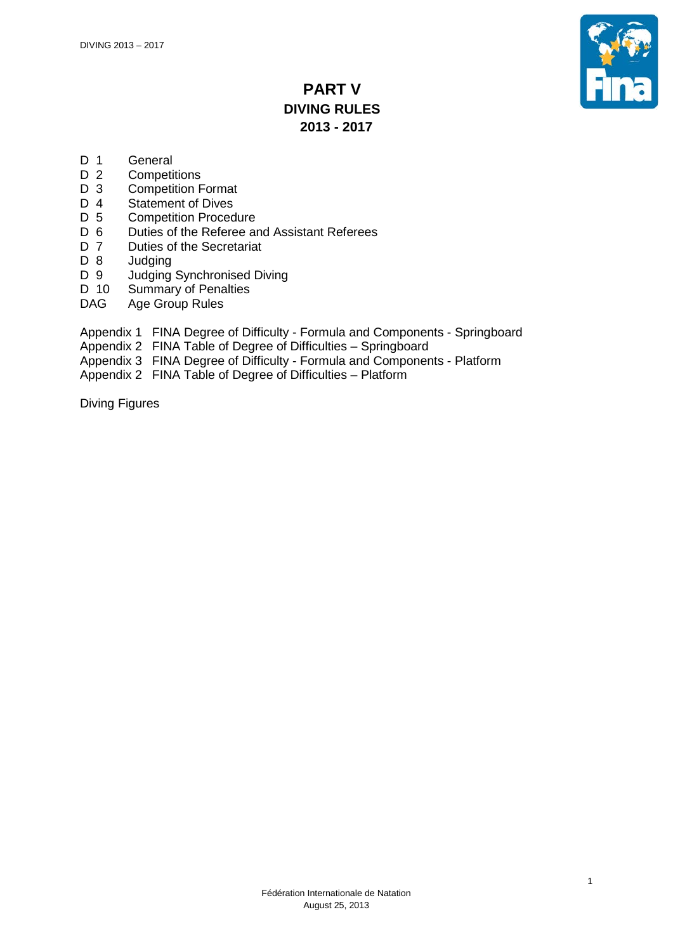

# **PART V DIVING RULES 2013 - 2017**

- D 1 General<br>D 2 Competi
- D 2 Competitions<br>D 3 Competition F
- **Competition Format**
- D 4 Statement of Dives<br>D 5 Competition Proced
- **Competition Procedure**
- D 6 Duties of the Referee and Assistant Referees<br>D 7 Duties of the Secretariat
- Duties of the Secretariat
- D 8 Judging<br>D 9 Judging
- Judging Synchronised Diving
- D 10 Summary of Penalties<br>DAG Age Group Rules
- Age Group Rules
- Appendix 1 FINA Degree of Difficulty Formula and Components Springboard
- Appendix 2 FINA Table of Degree of Difficulties Springboard
- Appendix 3 FINA Degree of Difficulty Formula and Components Platform
- Appendix 2 FINA Table of Degree of Difficulties Platform

Diving Figures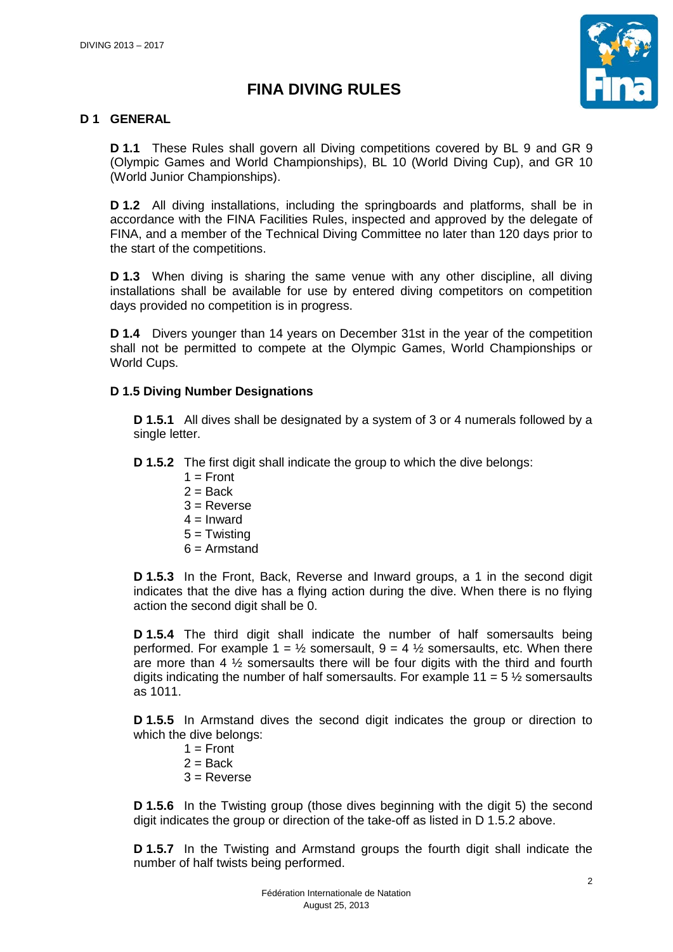

# **FINA DIVING RULES**

# **D 1 GENERAL**

**D 1.1** These Rules shall govern all Diving competitions covered by BL 9 and GR 9 (Olympic Games and World Championships), BL 10 (World Diving Cup), and GR 10 (World Junior Championships).

**D 1.2** All diving installations, including the springboards and platforms, shall be in accordance with the FINA Facilities Rules, inspected and approved by the delegate of FINA, and a member of the Technical Diving Committee no later than 120 days prior to the start of the competitions.

**D 1.3** When diving is sharing the same venue with any other discipline, all diving installations shall be available for use by entered diving competitors on competition days provided no competition is in progress.

**D 1.4** Divers younger than 14 years on December 31st in the year of the competition shall not be permitted to compete at the Olympic Games, World Championships or World Cups.

## **D 1.5 Diving Number Designations**

**D 1.5.1** All dives shall be designated by a system of 3 or 4 numerals followed by a single letter.

**D 1.5.2** The first digit shall indicate the group to which the dive belongs:

- $1 =$  Front
- $2 = Back$
- $3 =$  Reverse
- $4 =$  Inward
- $5 =$ Twisting
- $6 =$ Armstand

**D 1.5.3** In the Front, Back, Reverse and Inward groups, a 1 in the second digit indicates that the dive has a flying action during the dive. When there is no flying action the second digit shall be 0.

**D 1.5.4** The third digit shall indicate the number of half somersaults being performed. For example  $1 = \frac{1}{2}$  somersault,  $9 = 4\frac{1}{2}$  somersaults, etc. When there are more than 4 ½ somersaults there will be four digits with the third and fourth digits indicating the number of half somersaults. For example  $11 = 5 \frac{1}{2}$  somersaults as 1011.

**D 1.5.5** In Armstand dives the second digit indicates the group or direction to which the dive belongs:

- $1 =$  Front
- $2 =$ Back
- $3 =$ Reverse

**D 1.5.6** In the Twisting group (those dives beginning with the digit 5) the second digit indicates the group or direction of the take-off as listed in D 1.5.2 above.

**D 1.5.7** In the Twisting and Armstand groups the fourth digit shall indicate the number of half twists being performed.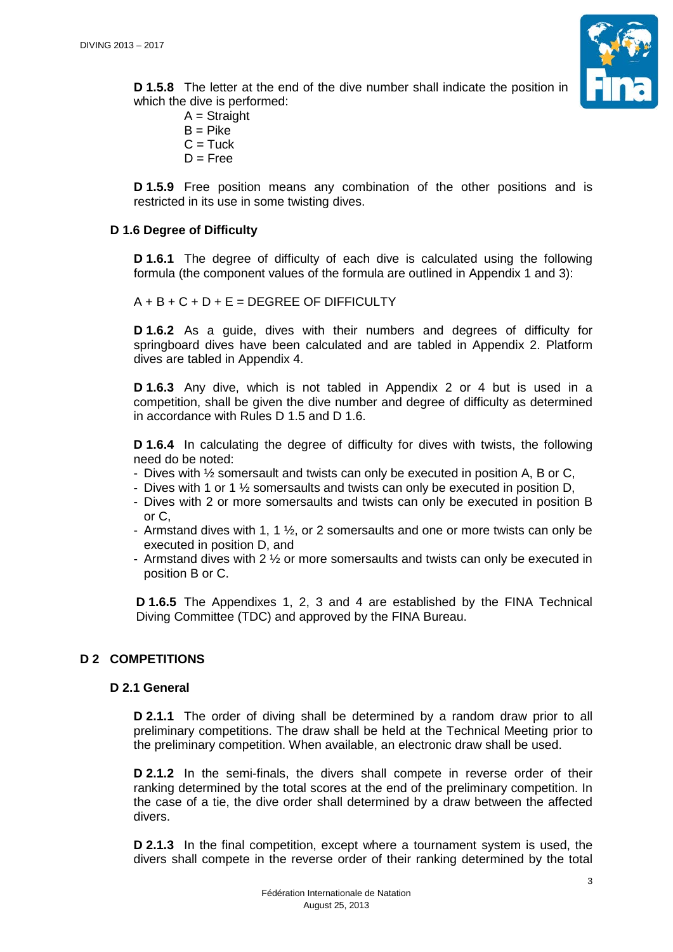

**D 1.5.8** The letter at the end of the dive number shall indicate the position in which the dive is performed:

 $A =$ Straight  $B = Pike$  $C = Tuck$  $D =$ Free

**D 1.5.9** Free position means any combination of the other positions and is restricted in its use in some twisting dives.

# **D 1.6 Degree of Difficulty**

**D 1.6.1** The degree of difficulty of each dive is calculated using the following formula (the component values of the formula are outlined in Appendix 1 and 3):

 $A + B + C + D + E = DEGREE OF DIFFICULTY$ 

**D 1.6.2** As a guide, dives with their numbers and degrees of difficulty for springboard dives have been calculated and are tabled in Appendix 2. Platform dives are tabled in Appendix 4.

**D 1.6.3** Any dive, which is not tabled in Appendix 2 or 4 but is used in a competition, shall be given the dive number and degree of difficulty as determined in accordance with Rules D 1.5 and D 1.6.

**D 1.6.4** In calculating the degree of difficulty for dives with twists, the following need do be noted:

- Dives with ½ somersault and twists can only be executed in position A, B or C,
- Dives with 1 or 1 ½ somersaults and twists can only be executed in position D,
- Dives with 2 or more somersaults and twists can only be executed in position B or C,
- Armstand dives with 1, 1  $\frac{1}{2}$ , or 2 somersaults and one or more twists can only be executed in position D, and
- Armstand dives with 2 ½ or more somersaults and twists can only be executed in position B or C.

**D 1.6.5** The Appendixes 1, 2, 3 and 4 are established by the FINA Technical Diving Committee (TDC) and approved by the FINA Bureau.

# **D 2 COMPETITIONS**

## **D 2.1 General**

**D 2.1.1** The order of diving shall be determined by a random draw prior to all preliminary competitions. The draw shall be held at the Technical Meeting prior to the preliminary competition. When available, an electronic draw shall be used.

**D 2.1.2** In the semi-finals, the divers shall compete in reverse order of their ranking determined by the total scores at the end of the preliminary competition. In the case of a tie, the dive order shall determined by a draw between the affected divers.

**D 2.1.3** In the final competition, except where a tournament system is used, the divers shall compete in the reverse order of their ranking determined by the total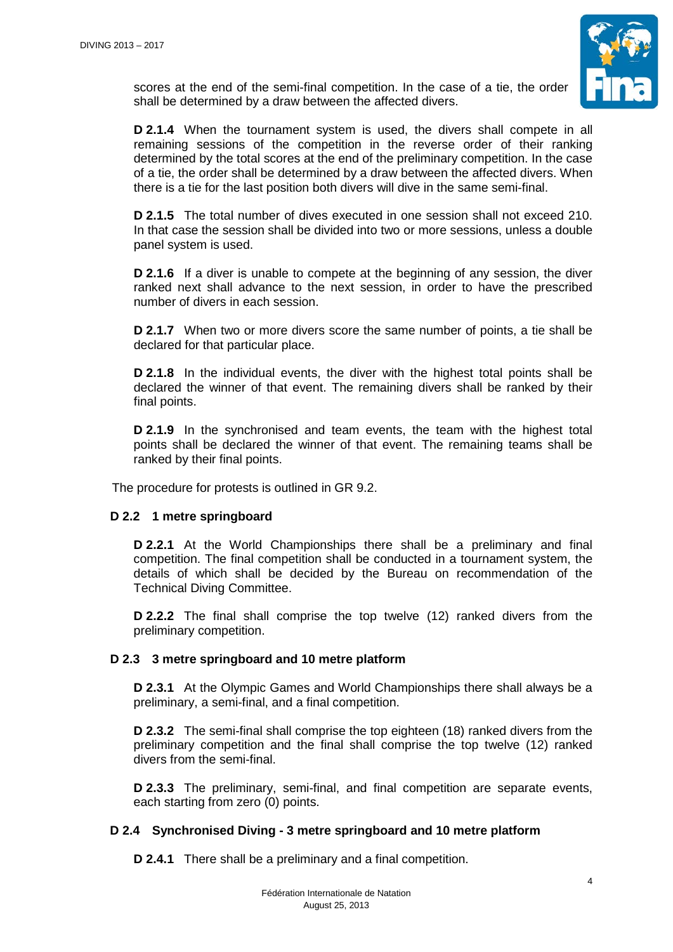

scores at the end of the semi-final competition. In the case of a tie, the order shall be determined by a draw between the affected divers.

**D 2.1.4** When the tournament system is used, the divers shall compete in all remaining sessions of the competition in the reverse order of their ranking determined by the total scores at the end of the preliminary competition. In the case of a tie, the order shall be determined by a draw between the affected divers. When there is a tie for the last position both divers will dive in the same semi-final.

**D 2.1.5** The total number of dives executed in one session shall not exceed 210. In that case the session shall be divided into two or more sessions, unless a double panel system is used.

**D 2.1.6** If a diver is unable to compete at the beginning of any session, the diver ranked next shall advance to the next session, in order to have the prescribed number of divers in each session.

**D 2.1.7** When two or more divers score the same number of points, a tie shall be declared for that particular place.

**D 2.1.8** In the individual events, the diver with the highest total points shall be declared the winner of that event. The remaining divers shall be ranked by their final points.

**D 2.1.9** In the synchronised and team events, the team with the highest total points shall be declared the winner of that event. The remaining teams shall be ranked by their final points.

The procedure for protests is outlined in GR 9.2.

## **D 2.2 1 metre springboard**

**D 2.2.1** At the World Championships there shall be a preliminary and final competition. The final competition shall be conducted in a tournament system, the details of which shall be decided by the Bureau on recommendation of the Technical Diving Committee.

**D 2.2.2** The final shall comprise the top twelve (12) ranked divers from the preliminary competition.

## **D 2.3 3 metre springboard and 10 metre platform**

**D 2.3.1** At the Olympic Games and World Championships there shall always be a preliminary, a semi-final, and a final competition.

**D 2.3.2** The semi-final shall comprise the top eighteen (18) ranked divers from the preliminary competition and the final shall comprise the top twelve (12) ranked divers from the semi-final.

**D 2.3.3** The preliminary, semi-final, and final competition are separate events, each starting from zero (0) points.

## **D 2.4 Synchronised Diving - 3 metre springboard and 10 metre platform**

**D 2.4.1** There shall be a preliminary and a final competition.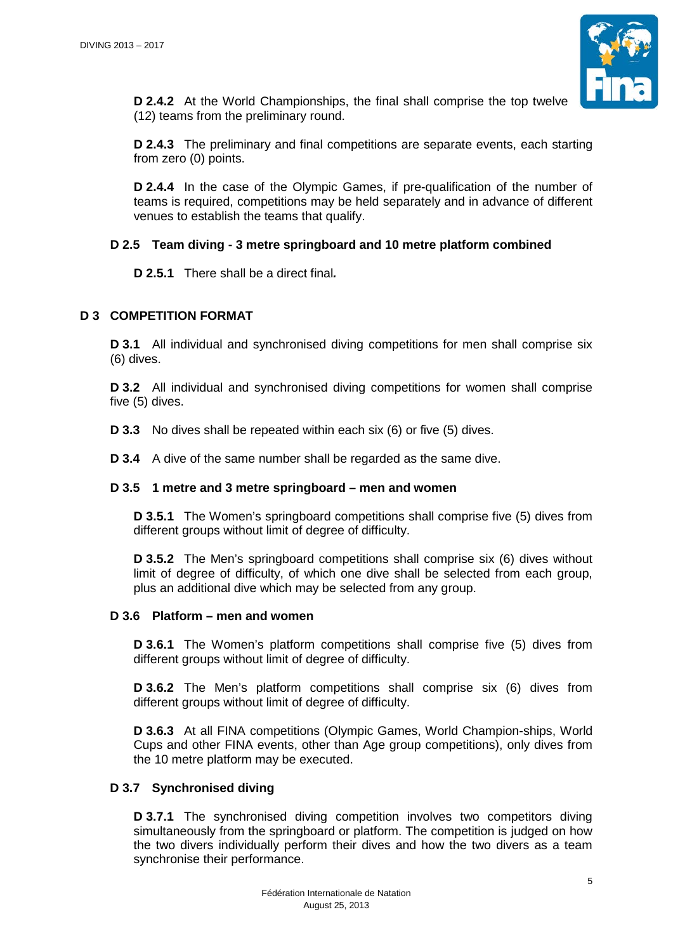

**D 2.4.2** At the World Championships, the final shall comprise the top twelve (12) teams from the preliminary round.

**D 2.4.3** The preliminary and final competitions are separate events, each starting from zero (0) points.

**D 2.4.4** In the case of the Olympic Games, if pre-qualification of the number of teams is required, competitions may be held separately and in advance of different venues to establish the teams that qualify.

## **D 2.5 Team diving - 3 metre springboard and 10 metre platform combined**

**D 2.5.1** There shall be a direct final*.* 

## **D 3 COMPETITION FORMAT**

**D 3.1** All individual and synchronised diving competitions for men shall comprise six (6) dives.

**D 3.2** All individual and synchronised diving competitions for women shall comprise five (5) dives.

**D 3.3** No dives shall be repeated within each six (6) or five (5) dives.

**D 3.4** A dive of the same number shall be regarded as the same dive.

## **D 3.5 1 metre and 3 metre springboard – men and women**

**D 3.5.1** The Women's springboard competitions shall comprise five (5) dives from different groups without limit of degree of difficulty.

**D 3.5.2** The Men's springboard competitions shall comprise six (6) dives without limit of degree of difficulty, of which one dive shall be selected from each group, plus an additional dive which may be selected from any group.

## **D 3.6 Platform – men and women**

**D 3.6.1** The Women's platform competitions shall comprise five (5) dives from different groups without limit of degree of difficulty.

**D 3.6.2** The Men's platform competitions shall comprise six (6) dives from different groups without limit of degree of difficulty.

**D 3.6.3** At all FINA competitions (Olympic Games, World Champion-ships, World Cups and other FINA events, other than Age group competitions), only dives from the 10 metre platform may be executed.

# **D 3.7 Synchronised diving**

**D 3.7.1** The synchronised diving competition involves two competitors diving simultaneously from the springboard or platform. The competition is judged on how the two divers individually perform their dives and how the two divers as a team synchronise their performance.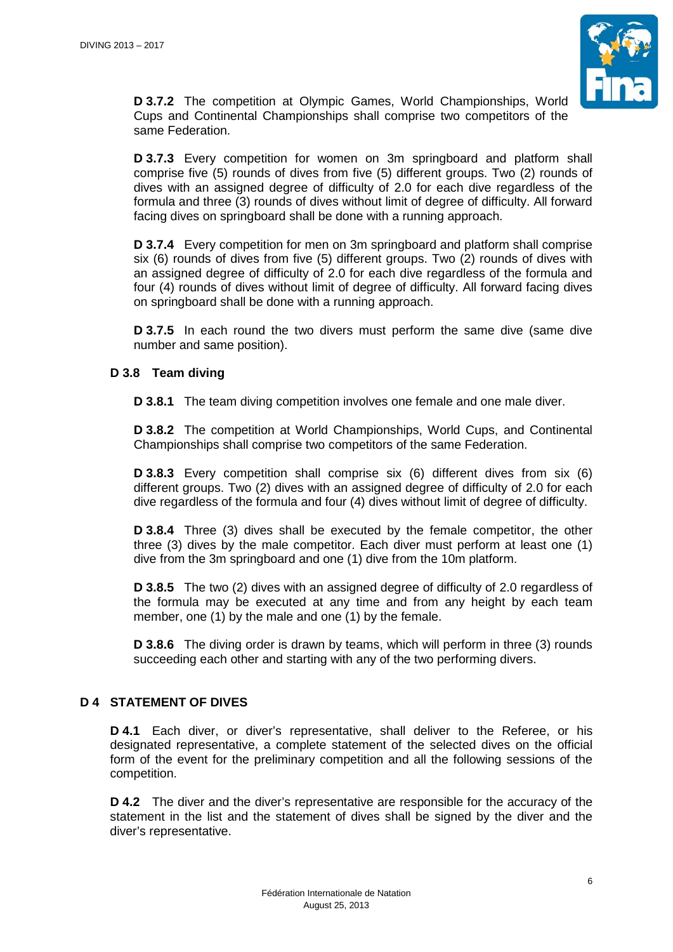

**D 3.7.2** The competition at Olympic Games, World Championships, World Cups and Continental Championships shall comprise two competitors of the same Federation.

**D 3.7.3** Every competition for women on 3m springboard and platform shall comprise five (5) rounds of dives from five (5) different groups. Two (2) rounds of dives with an assigned degree of difficulty of 2.0 for each dive regardless of the formula and three (3) rounds of dives without limit of degree of difficulty. All forward facing dives on springboard shall be done with a running approach.

**D 3.7.4** Every competition for men on 3m springboard and platform shall comprise six (6) rounds of dives from five (5) different groups. Two (2) rounds of dives with an assigned degree of difficulty of 2.0 for each dive regardless of the formula and four (4) rounds of dives without limit of degree of difficulty. All forward facing dives on springboard shall be done with a running approach.

**D 3.7.5** In each round the two divers must perform the same dive (same dive number and same position).

## **D 3.8 Team diving**

**D 3.8.1** The team diving competition involves one female and one male diver.

**D 3.8.2** The competition at World Championships, World Cups, and Continental Championships shall comprise two competitors of the same Federation.

**D 3.8.3** Every competition shall comprise six (6) different dives from six (6) different groups. Two (2) dives with an assigned degree of difficulty of 2.0 for each dive regardless of the formula and four (4) dives without limit of degree of difficulty.

**D 3.8.4** Three (3) dives shall be executed by the female competitor, the other three (3) dives by the male competitor. Each diver must perform at least one (1) dive from the 3m springboard and one (1) dive from the 10m platform.

**D 3.8.5** The two (2) dives with an assigned degree of difficulty of 2.0 regardless of the formula may be executed at any time and from any height by each team member, one (1) by the male and one (1) by the female.

**D 3.8.6** The diving order is drawn by teams, which will perform in three (3) rounds succeeding each other and starting with any of the two performing divers.

# **D 4 STATEMENT OF DIVES**

**D 4.1** Each diver, or diver's representative, shall deliver to the Referee, or his designated representative, a complete statement of the selected dives on the official form of the event for the preliminary competition and all the following sessions of the competition.

**D 4.2** The diver and the diver's representative are responsible for the accuracy of the statement in the list and the statement of dives shall be signed by the diver and the diver's representative.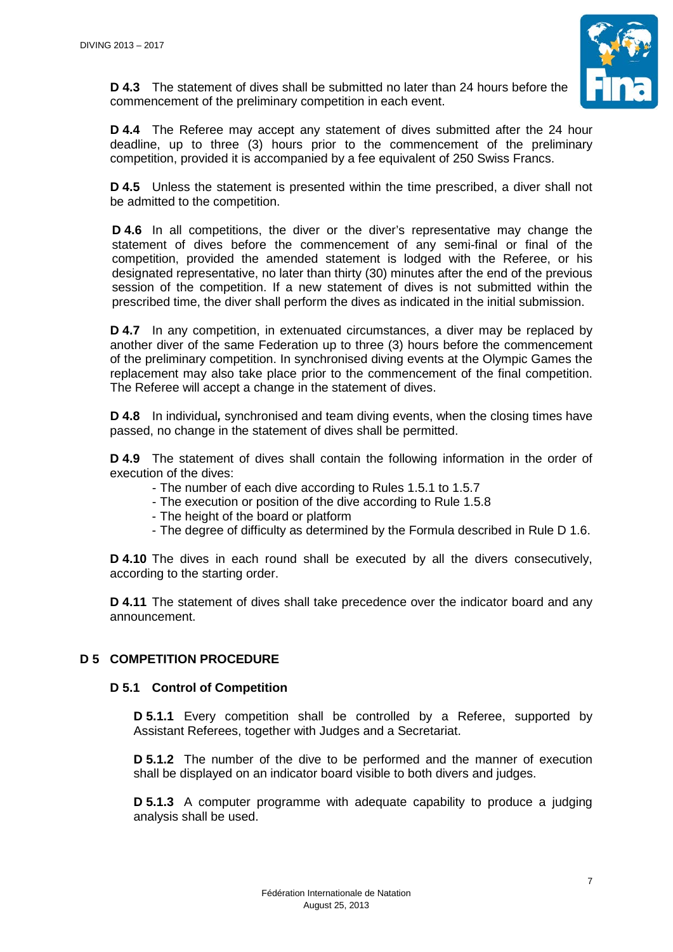

**D 4.3** The statement of dives shall be submitted no later than 24 hours before the commencement of the preliminary competition in each event.

**D 4.4** The Referee may accept any statement of dives submitted after the 24 hour deadline, up to three (3) hours prior to the commencement of the preliminary competition, provided it is accompanied by a fee equivalent of 250 Swiss Francs.

**D 4.5** Unless the statement is presented within the time prescribed, a diver shall not be admitted to the competition.

**D 4.6** In all competitions, the diver or the diver's representative may change the statement of dives before the commencement of any semi-final or final of the competition, provided the amended statement is lodged with the Referee, or his designated representative, no later than thirty (30) minutes after the end of the previous session of the competition. If a new statement of dives is not submitted within the prescribed time, the diver shall perform the dives as indicated in the initial submission.

**D 4.7** In any competition, in extenuated circumstances, a diver may be replaced by another diver of the same Federation up to three (3) hours before the commencement of the preliminary competition. In synchronised diving events at the Olympic Games the replacement may also take place prior to the commencement of the final competition. The Referee will accept a change in the statement of dives.

**D 4.8** In individual*,* synchronised and team diving events, when the closing times have passed, no change in the statement of dives shall be permitted.

**D 4.9** The statement of dives shall contain the following information in the order of execution of the dives:

- The number of each dive according to Rules 1.5.1 to 1.5.7
- The execution or position of the dive according to Rule 1.5.8
- The height of the board or platform
- The degree of difficulty as determined by the Formula described in Rule D 1.6.

**D 4.10** The dives in each round shall be executed by all the divers consecutively, according to the starting order.

**D 4.11** The statement of dives shall take precedence over the indicator board and any announcement.

## **D 5 COMPETITION PROCEDURE**

#### **D 5.1 Control of Competition**

**D 5.1.1** Every competition shall be controlled by a Referee, supported by Assistant Referees, together with Judges and a Secretariat.

**D 5.1.2** The number of the dive to be performed and the manner of execution shall be displayed on an indicator board visible to both divers and judges.

**D 5.1.3** A computer programme with adequate capability to produce a judging analysis shall be used.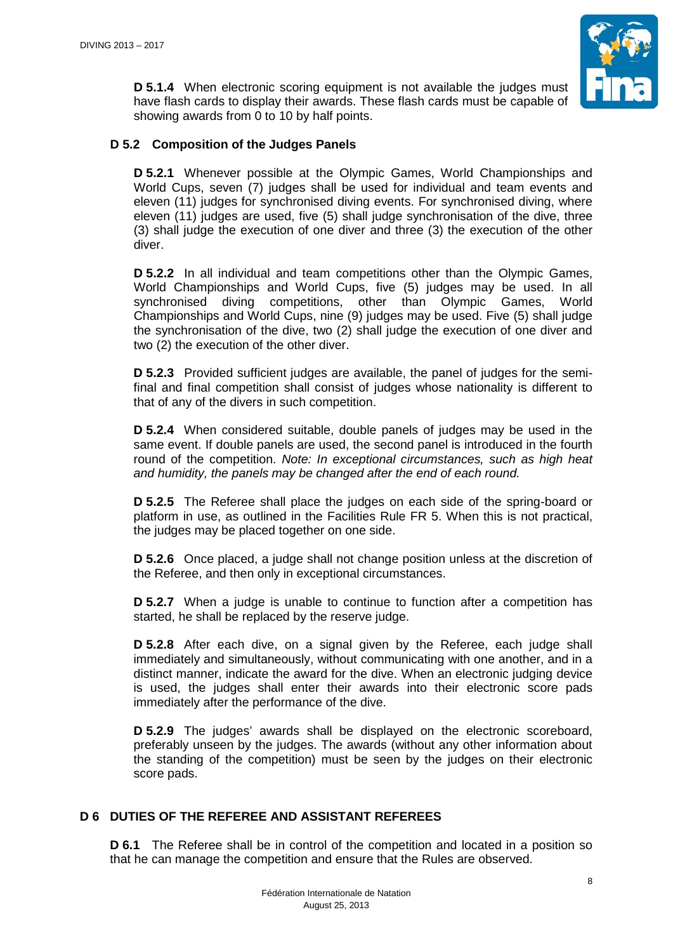

**D 5.1.4** When electronic scoring equipment is not available the judges must have flash cards to display their awards. These flash cards must be capable of showing awards from 0 to 10 by half points.

## **D 5.2 Composition of the Judges Panels**

**D 5.2.1** Whenever possible at the Olympic Games, World Championships and World Cups, seven (7) judges shall be used for individual and team events and eleven (11) judges for synchronised diving events. For synchronised diving, where eleven (11) judges are used, five (5) shall judge synchronisation of the dive, three (3) shall judge the execution of one diver and three (3) the execution of the other diver.

**D 5.2.2** In all individual and team competitions other than the Olympic Games, World Championships and World Cups, five (5) judges may be used. In all synchronised diving competitions, other than Olympic Games, World Championships and World Cups, nine (9) judges may be used. Five (5) shall judge the synchronisation of the dive, two (2) shall judge the execution of one diver and two (2) the execution of the other diver.

**D 5.2.3** Provided sufficient judges are available, the panel of judges for the semifinal and final competition shall consist of judges whose nationality is different to that of any of the divers in such competition.

**D 5.2.4** When considered suitable, double panels of judges may be used in the same event. If double panels are used, the second panel is introduced in the fourth round of the competition. *Note: In exceptional circumstances, such as high heat and humidity, the panels may be changed after the end of each round.* 

**D 5.2.5** The Referee shall place the judges on each side of the spring-board or platform in use, as outlined in the Facilities Rule FR 5. When this is not practical, the judges may be placed together on one side.

**D 5.2.6** Once placed, a judge shall not change position unless at the discretion of the Referee, and then only in exceptional circumstances.

**D 5.2.7** When a judge is unable to continue to function after a competition has started, he shall be replaced by the reserve judge.

**D 5.2.8** After each dive, on a signal given by the Referee, each judge shall immediately and simultaneously, without communicating with one another, and in a distinct manner, indicate the award for the dive. When an electronic judging device is used, the judges shall enter their awards into their electronic score pads immediately after the performance of the dive.

**D 5.2.9** The judges' awards shall be displayed on the electronic scoreboard, preferably unseen by the judges. The awards (without any other information about the standing of the competition) must be seen by the judges on their electronic score pads.

# **D 6 DUTIES OF THE REFEREE AND ASSISTANT REFEREES**

**D 6.1** The Referee shall be in control of the competition and located in a position so that he can manage the competition and ensure that the Rules are observed.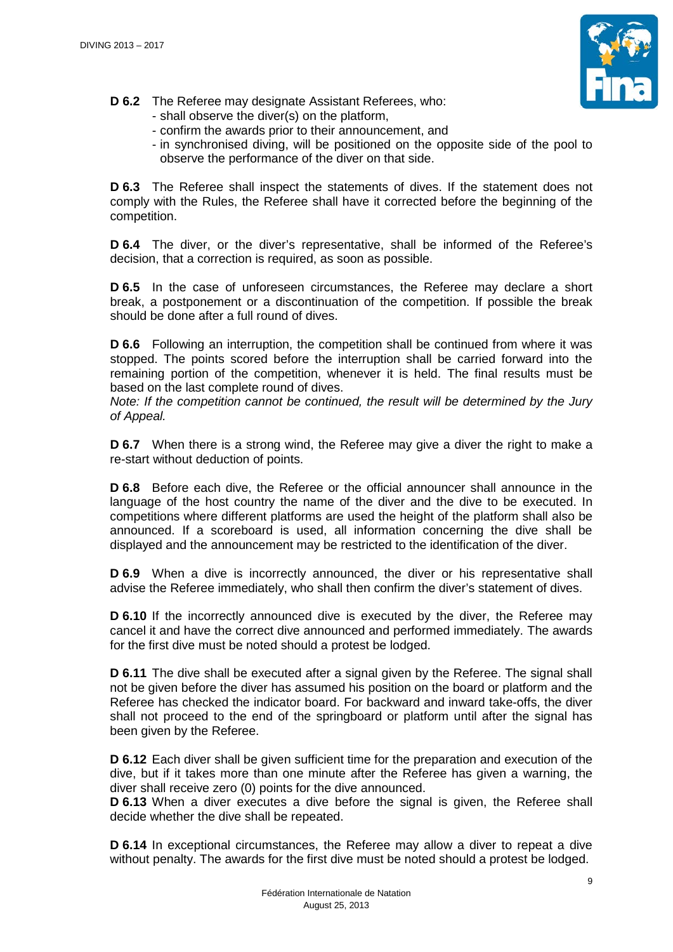

- **D 6.2** The Referee may designate Assistant Referees, who:
	- shall observe the diver(s) on the platform,
	- confirm the awards prior to their announcement, and
	- in synchronised diving, will be positioned on the opposite side of the pool to observe the performance of the diver on that side.

**D 6.3** The Referee shall inspect the statements of dives. If the statement does not comply with the Rules, the Referee shall have it corrected before the beginning of the competition.

**D 6.4** The diver, or the diver's representative, shall be informed of the Referee's decision, that a correction is required, as soon as possible.

**D 6.5** In the case of unforeseen circumstances, the Referee may declare a short break, a postponement or a discontinuation of the competition. If possible the break should be done after a full round of dives.

**D 6.6** Following an interruption, the competition shall be continued from where it was stopped. The points scored before the interruption shall be carried forward into the remaining portion of the competition, whenever it is held. The final results must be based on the last complete round of dives.

*Note: If the competition cannot be continued, the result will be determined by the Jury of Appeal.*

**D 6.7** When there is a strong wind, the Referee may give a diver the right to make a re-start without deduction of points.

**D 6.8** Before each dive, the Referee or the official announcer shall announce in the language of the host country the name of the diver and the dive to be executed. In competitions where different platforms are used the height of the platform shall also be announced. If a scoreboard is used, all information concerning the dive shall be displayed and the announcement may be restricted to the identification of the diver.

**D 6.9** When a dive is incorrectly announced, the diver or his representative shall advise the Referee immediately, who shall then confirm the diver's statement of dives.

**D 6.10** If the incorrectly announced dive is executed by the diver, the Referee may cancel it and have the correct dive announced and performed immediately. The awards for the first dive must be noted should a protest be lodged.

**D 6.11** The dive shall be executed after a signal given by the Referee. The signal shall not be given before the diver has assumed his position on the board or platform and the Referee has checked the indicator board. For backward and inward take-offs, the diver shall not proceed to the end of the springboard or platform until after the signal has been given by the Referee.

**D 6.12** Each diver shall be given sufficient time for the preparation and execution of the dive, but if it takes more than one minute after the Referee has given a warning, the diver shall receive zero (0) points for the dive announced.

**D 6.13** When a diver executes a dive before the signal is given, the Referee shall decide whether the dive shall be repeated.

**D 6.14** In exceptional circumstances, the Referee may allow a diver to repeat a dive without penalty. The awards for the first dive must be noted should a protest be lodged.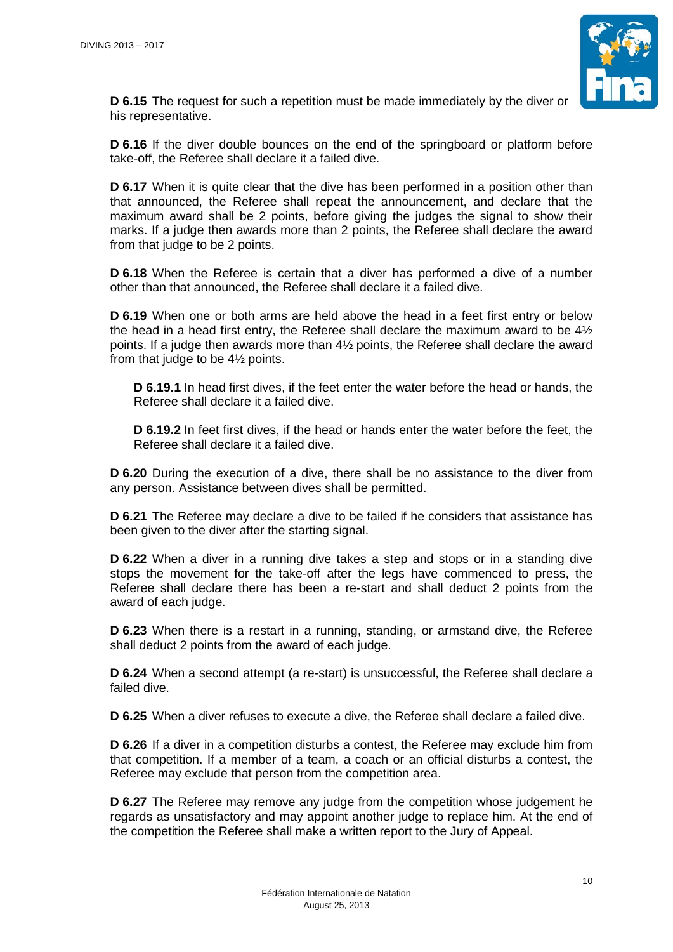

**D 6.15** The request for such a repetition must be made immediately by the diver or his representative.

**D 6.16** If the diver double bounces on the end of the springboard or platform before take-off, the Referee shall declare it a failed dive.

**D 6.17** When it is quite clear that the dive has been performed in a position other than that announced, the Referee shall repeat the announcement, and declare that the maximum award shall be 2 points, before giving the judges the signal to show their marks. If a judge then awards more than 2 points, the Referee shall declare the award from that judge to be 2 points.

**D 6.18** When the Referee is certain that a diver has performed a dive of a number other than that announced, the Referee shall declare it a failed dive.

**D 6.19** When one or both arms are held above the head in a feet first entry or below the head in a head first entry, the Referee shall declare the maximum award to be  $4\frac{1}{2}$ points. If a judge then awards more than 4½ points, the Referee shall declare the award from that judge to be 4½ points.

**D 6.19.1** In head first dives, if the feet enter the water before the head or hands, the Referee shall declare it a failed dive.

**D 6.19.2** In feet first dives, if the head or hands enter the water before the feet, the Referee shall declare it a failed dive.

**D 6.20** During the execution of a dive, there shall be no assistance to the diver from any person. Assistance between dives shall be permitted.

**D 6.21** The Referee may declare a dive to be failed if he considers that assistance has been given to the diver after the starting signal.

**D 6.22** When a diver in a running dive takes a step and stops or in a standing dive stops the movement for the take-off after the legs have commenced to press, the Referee shall declare there has been a re-start and shall deduct 2 points from the award of each judge.

**D 6.23** When there is a restart in a running, standing, or armstand dive, the Referee shall deduct 2 points from the award of each judge.

**D 6.24** When a second attempt (a re-start) is unsuccessful, the Referee shall declare a failed dive.

**D 6.25** When a diver refuses to execute a dive, the Referee shall declare a failed dive.

**D 6.26** If a diver in a competition disturbs a contest, the Referee may exclude him from that competition. If a member of a team, a coach or an official disturbs a contest, the Referee may exclude that person from the competition area.

**D 6.27** The Referee may remove any judge from the competition whose judgement he regards as unsatisfactory and may appoint another judge to replace him. At the end of the competition the Referee shall make a written report to the Jury of Appeal.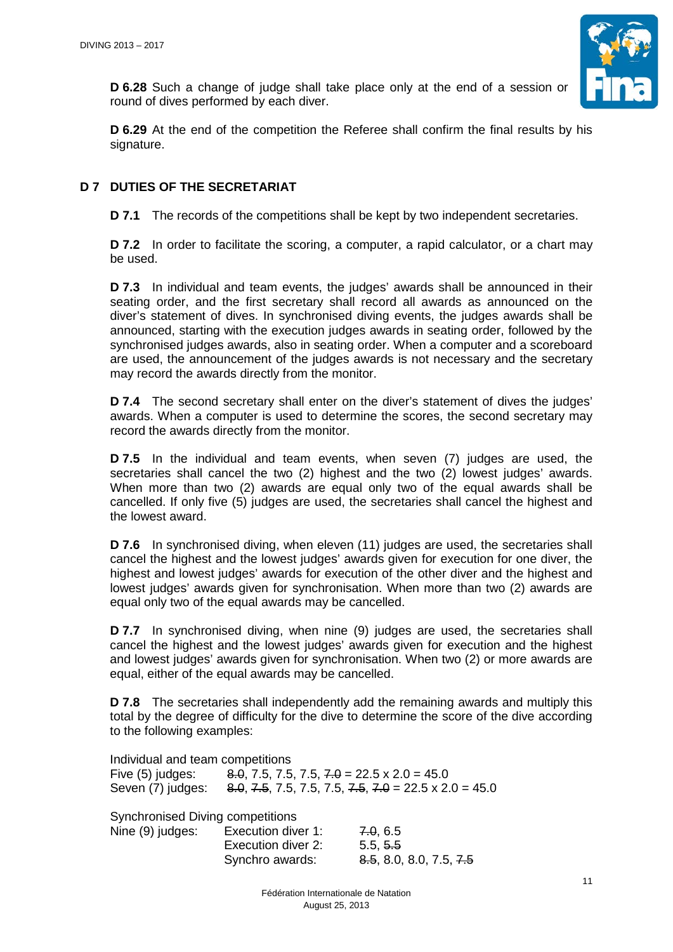

**D 6.28** Such a change of judge shall take place only at the end of a session or round of dives performed by each diver.

**D 6.29** At the end of the competition the Referee shall confirm the final results by his signature.

# **D 7 DUTIES OF THE SECRETARIAT**

**D 7.1** The records of the competitions shall be kept by two independent secretaries.

**D 7.2** In order to facilitate the scoring, a computer, a rapid calculator, or a chart may be used.

**D 7.3** In individual and team events, the judges' awards shall be announced in their seating order, and the first secretary shall record all awards as announced on the diver's statement of dives. In synchronised diving events, the judges awards shall be announced, starting with the execution judges awards in seating order, followed by the synchronised judges awards, also in seating order. When a computer and a scoreboard are used, the announcement of the judges awards is not necessary and the secretary may record the awards directly from the monitor.

**D 7.4** The second secretary shall enter on the diver's statement of dives the judges' awards. When a computer is used to determine the scores, the second secretary may record the awards directly from the monitor.

**D 7.5** In the individual and team events, when seven (7) judges are used, the secretaries shall cancel the two (2) highest and the two (2) lowest judges' awards. When more than two (2) awards are equal only two of the equal awards shall be cancelled. If only five (5) judges are used, the secretaries shall cancel the highest and the lowest award.

**D 7.6** In synchronised diving, when eleven (11) judges are used, the secretaries shall cancel the highest and the lowest judges' awards given for execution for one diver, the highest and lowest judges' awards for execution of the other diver and the highest and lowest judges' awards given for synchronisation. When more than two (2) awards are equal only two of the equal awards may be cancelled.

**D 7.7** In synchronised diving, when nine (9) judges are used, the secretaries shall cancel the highest and the lowest judges' awards given for execution and the highest and lowest judges' awards given for synchronisation. When two (2) or more awards are equal, either of the equal awards may be cancelled.

**D 7.8** The secretaries shall independently add the remaining awards and multiply this total by the degree of difficulty for the dive to determine the score of the dive according to the following examples:

Individual and team competitions

Five (5) judges:  $8.0, 7.5, 7.5, 7.5, 7.0 = 22.5 \times 2.0 = 45.0$ Seven (7) judges:  $8.0, 7.5, 7.5, 7.5, 7.5, 7.5, 7.0 = 22.5 \times 2.0 = 45.0$ 

Synchronised Diving competitions

| Nine (9) judges: | Execution diver 1: | 7.0, 6.5                |
|------------------|--------------------|-------------------------|
|                  | Execution diver 2: | 5.5, 5.5                |
|                  | Synchro awards:    | 8.5, 8.0, 8.0, 7.5, 7.5 |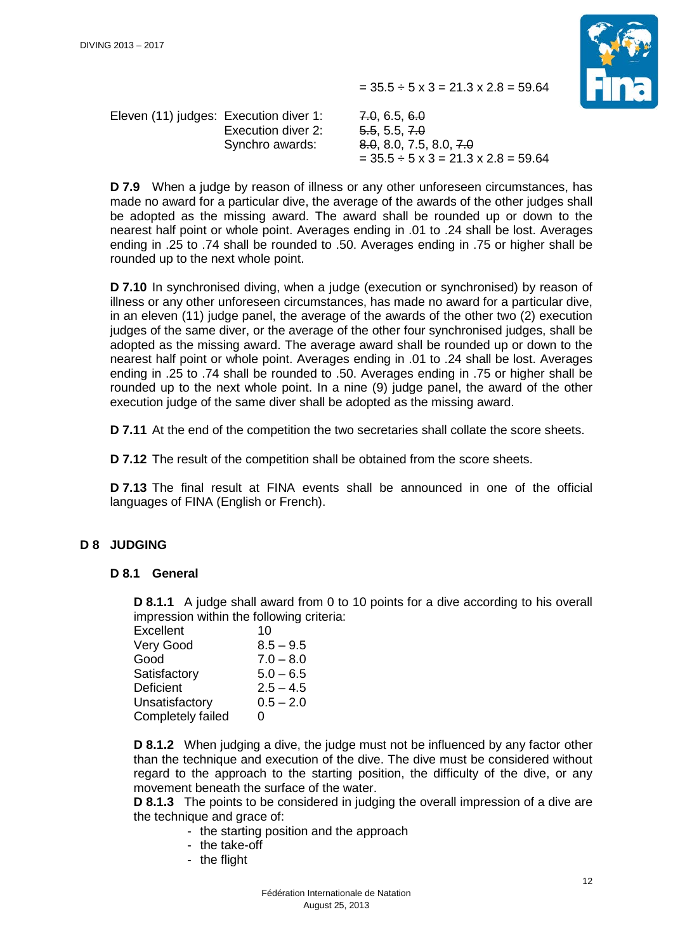$= 35.5 \div 5 \times 3 = 21.3 \times 2.8 = 59.64$ 



Eleven (11) judges: Execution diver 1: 7.0, 6.5, 6.0 Execution diver 2: 5.5, 5.5, 7.0

Synchro awards: 8.0, 8.0, 7.5, 8.0, 7.0  $= 35.5 \div 5 \times 3 = 21.3 \times 2.8 = 59.64$ 

**D 7.9** When a judge by reason of illness or any other unforeseen circumstances, has made no award for a particular dive, the average of the awards of the other judges shall be adopted as the missing award. The award shall be rounded up or down to the nearest half point or whole point. Averages ending in .01 to .24 shall be lost. Averages ending in .25 to .74 shall be rounded to .50. Averages ending in .75 or higher shall be rounded up to the next whole point.

**D 7.10** In synchronised diving, when a judge (execution or synchronised) by reason of illness or any other unforeseen circumstances, has made no award for a particular dive, in an eleven (11) judge panel, the average of the awards of the other two (2) execution judges of the same diver, or the average of the other four synchronised judges, shall be adopted as the missing award. The average award shall be rounded up or down to the nearest half point or whole point. Averages ending in .01 to .24 shall be lost. Averages ending in .25 to .74 shall be rounded to .50. Averages ending in .75 or higher shall be rounded up to the next whole point. In a nine (9) judge panel, the award of the other execution judge of the same diver shall be adopted as the missing award.

**D 7.11** At the end of the competition the two secretaries shall collate the score sheets.

**D 7.12** The result of the competition shall be obtained from the score sheets.

**D 7.13** The final result at FINA events shall be announced in one of the official languages of FINA (English or French).

## **D 8 JUDGING**

## **D 8.1 General**

**D 8.1.1** A judge shall award from 0 to 10 points for a dive according to his overall impression within the following criteria:

| 10          |
|-------------|
| $8.5 - 9.5$ |
| $7.0 - 8.0$ |
| $5.0 - 6.5$ |
| $2.5 - 4.5$ |
| $0.5 - 2.0$ |
| O           |
|             |

**D 8.1.2** When judging a dive, the judge must not be influenced by any factor other than the technique and execution of the dive. The dive must be considered without regard to the approach to the starting position, the difficulty of the dive, or any movement beneath the surface of the water.

**D 8.1.3** The points to be considered in judging the overall impression of a dive are the technique and grace of:

- the starting position and the approach
- the take-off
- the flight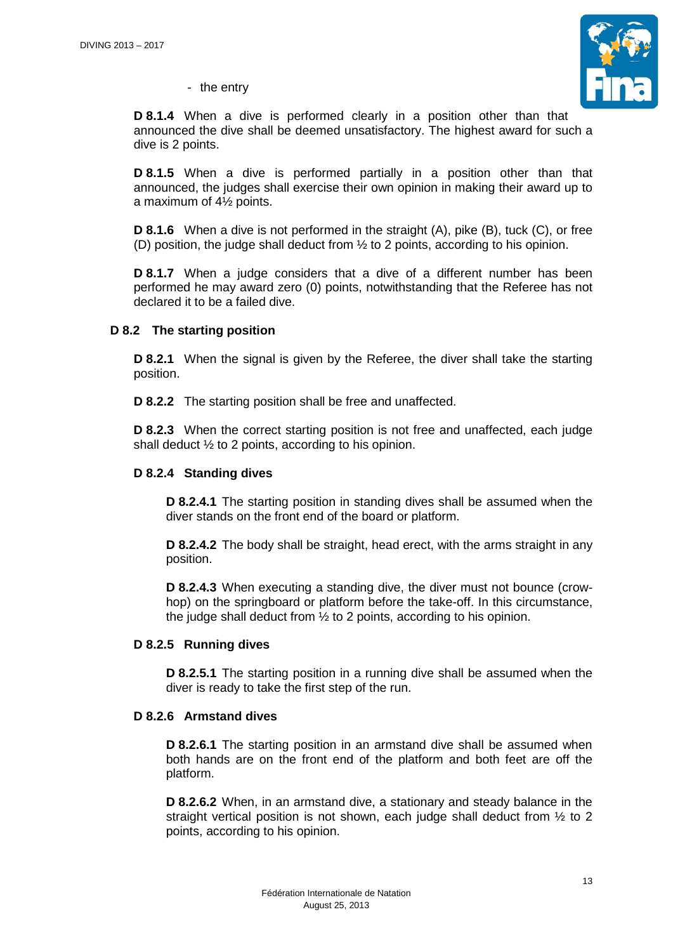

- the entry

**D 8.1.4** When a dive is performed clearly in a position other than that announced the dive shall be deemed unsatisfactory. The highest award for such a dive is 2 points.

**D 8.1.5** When a dive is performed partially in a position other than that announced, the judges shall exercise their own opinion in making their award up to a maximum of 4½ points.

**D 8.1.6** When a dive is not performed in the straight (A), pike (B), tuck (C), or free (D) position, the judge shall deduct from  $\frac{1}{2}$  to 2 points, according to his opinion.

**D 8.1.7** When a judge considers that a dive of a different number has been performed he may award zero (0) points, notwithstanding that the Referee has not declared it to be a failed dive.

## **D 8.2 The starting position**

**D 8.2.1** When the signal is given by the Referee, the diver shall take the starting position.

**D 8.2.2** The starting position shall be free and unaffected.

**D 8.2.3** When the correct starting position is not free and unaffected, each judge shall deduct ½ to 2 points, according to his opinion.

## **D 8.2.4 Standing dives**

**D 8.2.4.1** The starting position in standing dives shall be assumed when the diver stands on the front end of the board or platform.

**D 8.2.4.2** The body shall be straight, head erect, with the arms straight in any position.

**D 8.2.4.3** When executing a standing dive, the diver must not bounce (crowhop) on the springboard or platform before the take-off. In this circumstance, the judge shall deduct from  $\frac{1}{2}$  to 2 points, according to his opinion.

## **D 8.2.5 Running dives**

**D 8.2.5.1** The starting position in a running dive shall be assumed when the diver is ready to take the first step of the run.

## **D 8.2.6 Armstand dives**

**D 8.2.6.1** The starting position in an armstand dive shall be assumed when both hands are on the front end of the platform and both feet are off the platform.

**D 8.2.6.2** When, in an armstand dive, a stationary and steady balance in the straight vertical position is not shown, each judge shall deduct from  $\frac{1}{2}$  to 2 points, according to his opinion.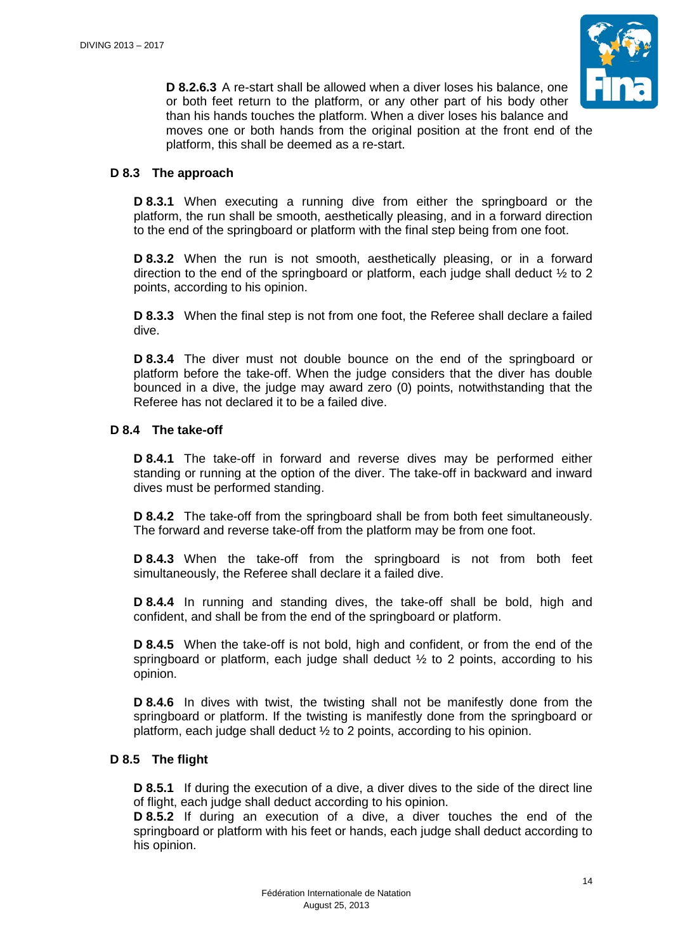

**D 8.2.6.3** A re-start shall be allowed when a diver loses his balance, one or both feet return to the platform, or any other part of his body other than his hands touches the platform. When a diver loses his balance and moves one or both hands from the original position at the front end of the platform, this shall be deemed as a re-start.

## **D 8.3 The approach**

**D 8.3.1** When executing a running dive from either the springboard or the platform, the run shall be smooth, aesthetically pleasing, and in a forward direction to the end of the springboard or platform with the final step being from one foot.

**D 8.3.2** When the run is not smooth, aesthetically pleasing, or in a forward direction to the end of the springboard or platform, each judge shall deduct  $\frac{1}{2}$  to 2 points, according to his opinion.

**D 8.3.3** When the final step is not from one foot, the Referee shall declare a failed dive.

**D 8.3.4** The diver must not double bounce on the end of the springboard or platform before the take-off. When the judge considers that the diver has double bounced in a dive, the judge may award zero (0) points, notwithstanding that the Referee has not declared it to be a failed dive.

## **D 8.4 The take-off**

**D 8.4.1** The take-off in forward and reverse dives may be performed either standing or running at the option of the diver. The take-off in backward and inward dives must be performed standing.

**D 8.4.2** The take-off from the springboard shall be from both feet simultaneously. The forward and reverse take-off from the platform may be from one foot.

**D 8.4.3** When the take-off from the springboard is not from both feet simultaneously, the Referee shall declare it a failed dive.

**D 8.4.4** In running and standing dives, the take-off shall be bold, high and confident, and shall be from the end of the springboard or platform.

**D 8.4.5** When the take-off is not bold, high and confident, or from the end of the springboard or platform, each judge shall deduct  $\frac{1}{2}$  to 2 points, according to his opinion.

**D 8.4.6** In dives with twist, the twisting shall not be manifestly done from the springboard or platform. If the twisting is manifestly done from the springboard or platform, each judge shall deduct ½ to 2 points, according to his opinion.

## **D 8.5 The flight**

**D 8.5.1** If during the execution of a dive, a diver dives to the side of the direct line of flight, each judge shall deduct according to his opinion.

**D 8.5.2** If during an execution of a dive, a diver touches the end of the springboard or platform with his feet or hands, each judge shall deduct according to his opinion.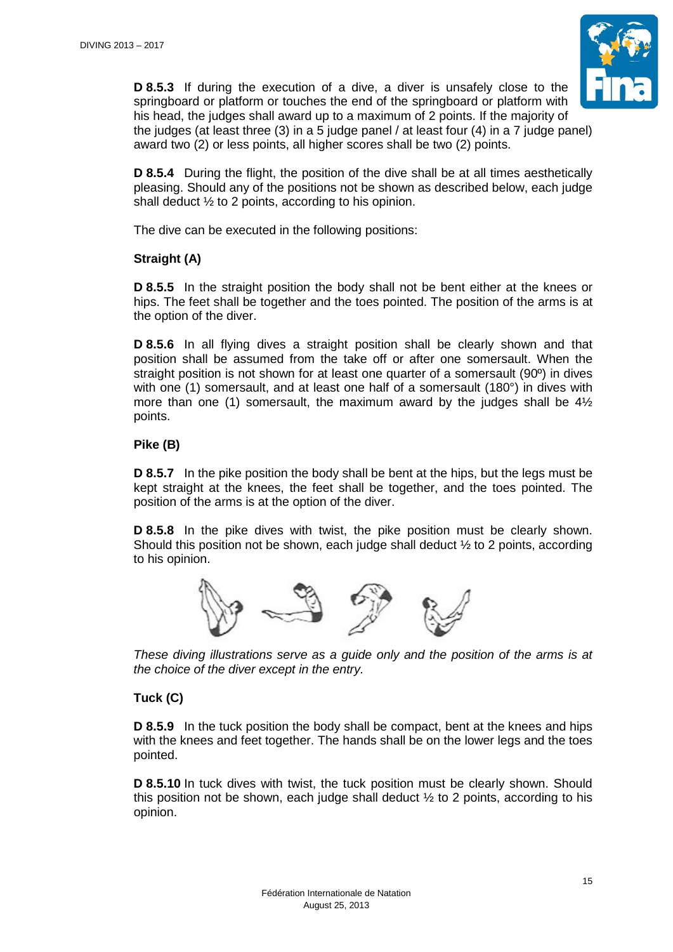

**D 8.5.3** If during the execution of a dive, a diver is unsafely close to the springboard or platform or touches the end of the springboard or platform with his head, the judges shall award up to a maximum of 2 points. If the majority of the judges (at least three (3) in a 5 judge panel / at least four (4) in a 7 judge panel) award two (2) or less points, all higher scores shall be two (2) points.

**D 8.5.4** During the flight, the position of the dive shall be at all times aesthetically pleasing. Should any of the positions not be shown as described below, each judge shall deduct ½ to 2 points, according to his opinion.

The dive can be executed in the following positions:

# **Straight (A)**

**D 8.5.5** In the straight position the body shall not be bent either at the knees or hips. The feet shall be together and the toes pointed. The position of the arms is at the option of the diver.

**D 8.5.6** In all flying dives a straight position shall be clearly shown and that position shall be assumed from the take off or after one somersault. When the straight position is not shown for at least one quarter of a somersault (90º) in dives with one (1) somersault, and at least one half of a somersault (180°) in dives with more than one (1) somersault, the maximum award by the judges shall be 4½ points.

# **Pike (B)**

**D 8.5.7** In the pike position the body shall be bent at the hips, but the legs must be kept straight at the knees, the feet shall be together, and the toes pointed. The position of the arms is at the option of the diver.

**D 8.5.8** In the pike dives with twist, the pike position must be clearly shown. Should this position not be shown, each judge shall deduct  $\frac{1}{2}$  to 2 points, according to his opinion.



*These diving illustrations serve as a guide only and the position of the arms is at the choice of the diver except in the entry.*

# **Tuck (C)**

**D 8.5.9** In the tuck position the body shall be compact, bent at the knees and hips with the knees and feet together. The hands shall be on the lower legs and the toes pointed.

**D 8.5.10** In tuck dives with twist, the tuck position must be clearly shown. Should this position not be shown, each judge shall deduct  $\frac{1}{2}$  to 2 points, according to his opinion.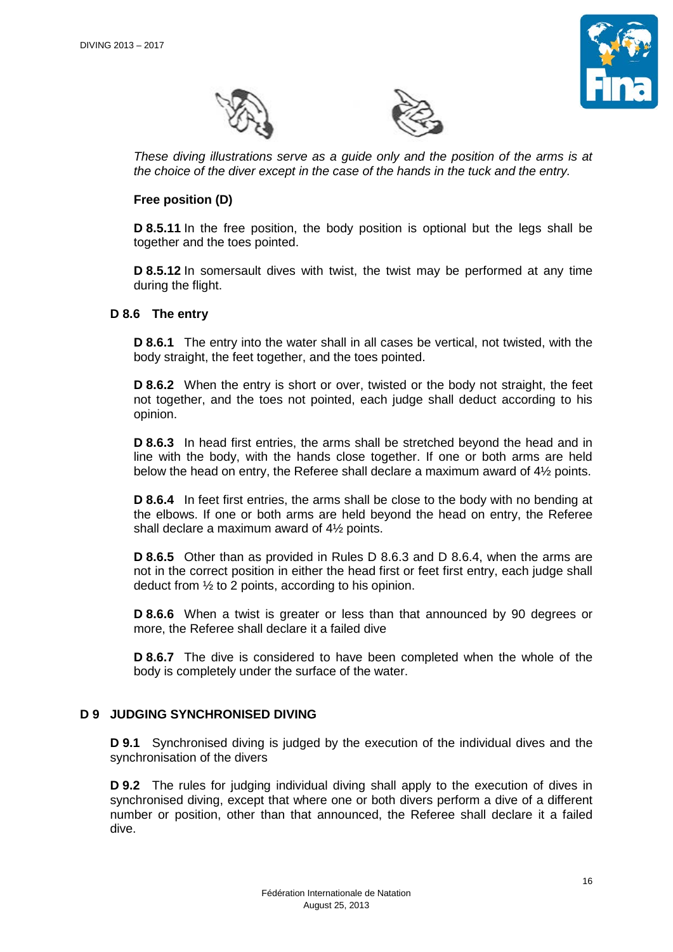





*These diving illustrations serve as a guide only and the position of the arms is at the choice of the diver except in the case of the hands in the tuck and the entry.* 

## **Free position (D)**

**D 8.5.11** In the free position, the body position is optional but the legs shall be together and the toes pointed.

**D 8.5.12** In somersault dives with twist, the twist may be performed at any time during the flight.

## **D 8.6 The entry**

**D 8.6.1** The entry into the water shall in all cases be vertical, not twisted, with the body straight, the feet together, and the toes pointed.

**D 8.6.2** When the entry is short or over, twisted or the body not straight, the feet not together, and the toes not pointed, each judge shall deduct according to his opinion.

**D 8.6.3** In head first entries, the arms shall be stretched beyond the head and in line with the body, with the hands close together. If one or both arms are held below the head on entry, the Referee shall declare a maximum award of 4½ points.

**D 8.6.4** In feet first entries, the arms shall be close to the body with no bending at the elbows. If one or both arms are held beyond the head on entry, the Referee shall declare a maximum award of 4½ points.

**D 8.6.5** Other than as provided in Rules D 8.6.3 and D 8.6.4, when the arms are not in the correct position in either the head first or feet first entry, each judge shall deduct from  $\frac{1}{2}$  to 2 points, according to his opinion.

**D 8.6.6** When a twist is greater or less than that announced by 90 degrees or more, the Referee shall declare it a failed dive

**D 8.6.7** The dive is considered to have been completed when the whole of the body is completely under the surface of the water.

## **D 9 JUDGING SYNCHRONISED DIVING**

**D 9.1** Synchronised diving is judged by the execution of the individual dives and the synchronisation of the divers

**D 9.2** The rules for judging individual diving shall apply to the execution of dives in synchronised diving, except that where one or both divers perform a dive of a different number or position, other than that announced, the Referee shall declare it a failed dive.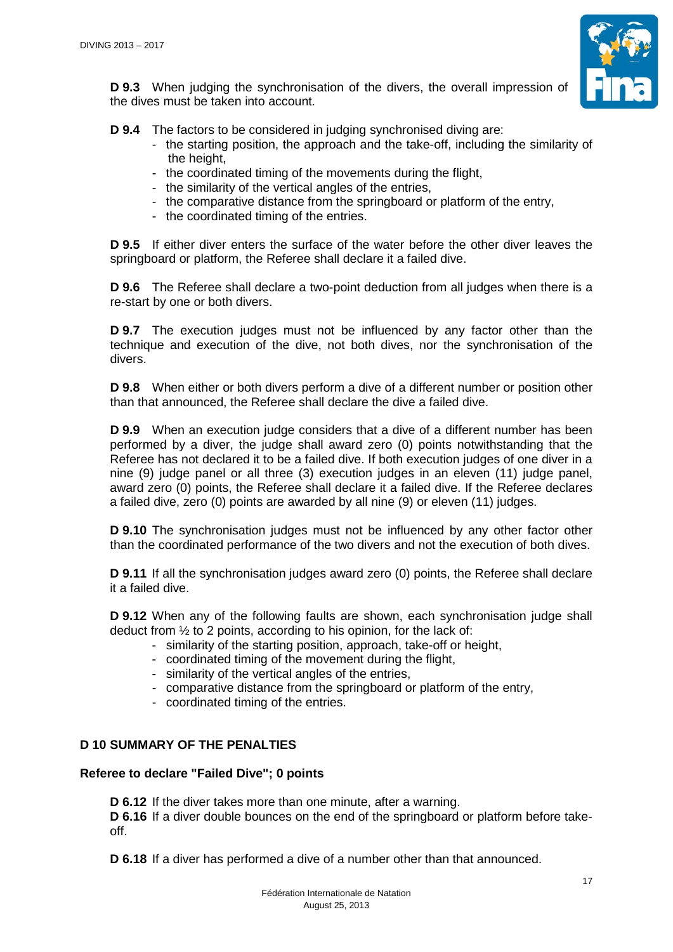

**D 9.3** When judging the synchronisation of the divers, the overall impression of the dives must be taken into account.

**D 9.4** The factors to be considered in judging synchronised diving are:

- the starting position, the approach and the take-off, including the similarity of the height.
- the coordinated timing of the movements during the flight,
- the similarity of the vertical angles of the entries,
- the comparative distance from the springboard or platform of the entry,
- the coordinated timing of the entries.

**D 9.5** If either diver enters the surface of the water before the other diver leaves the springboard or platform, the Referee shall declare it a failed dive.

**D 9.6** The Referee shall declare a two-point deduction from all judges when there is a re-start by one or both divers.

**D 9.7** The execution judges must not be influenced by any factor other than the technique and execution of the dive, not both dives, nor the synchronisation of the divers.

**D 9.8** When either or both divers perform a dive of a different number or position other than that announced, the Referee shall declare the dive a failed dive.

**D 9.9** When an execution judge considers that a dive of a different number has been performed by a diver, the judge shall award zero (0) points notwithstanding that the Referee has not declared it to be a failed dive. If both execution judges of one diver in a nine (9) judge panel or all three (3) execution judges in an eleven (11) judge panel, award zero (0) points, the Referee shall declare it a failed dive. If the Referee declares a failed dive, zero (0) points are awarded by all nine (9) or eleven (11) judges.

**D 9.10** The synchronisation judges must not be influenced by any other factor other than the coordinated performance of the two divers and not the execution of both dives.

**D 9.11** If all the synchronisation judges award zero (0) points, the Referee shall declare it a failed dive.

**D 9.12** When any of the following faults are shown, each synchronisation judge shall deduct from ½ to 2 points, according to his opinion, for the lack of:

- similarity of the starting position, approach, take-off or height,
- coordinated timing of the movement during the flight,
- similarity of the vertical angles of the entries,
- comparative distance from the springboard or platform of the entry,
- coordinated timing of the entries.

## **D 10 SUMMARY OF THE PENALTIES**

## **Referee to declare "Failed Dive"; 0 points**

**D 6.12** If the diver takes more than one minute, after a warning.

**D 6.16** If a diver double bounces on the end of the springboard or platform before takeoff.

**D 6.18** If a diver has performed a dive of a number other than that announced.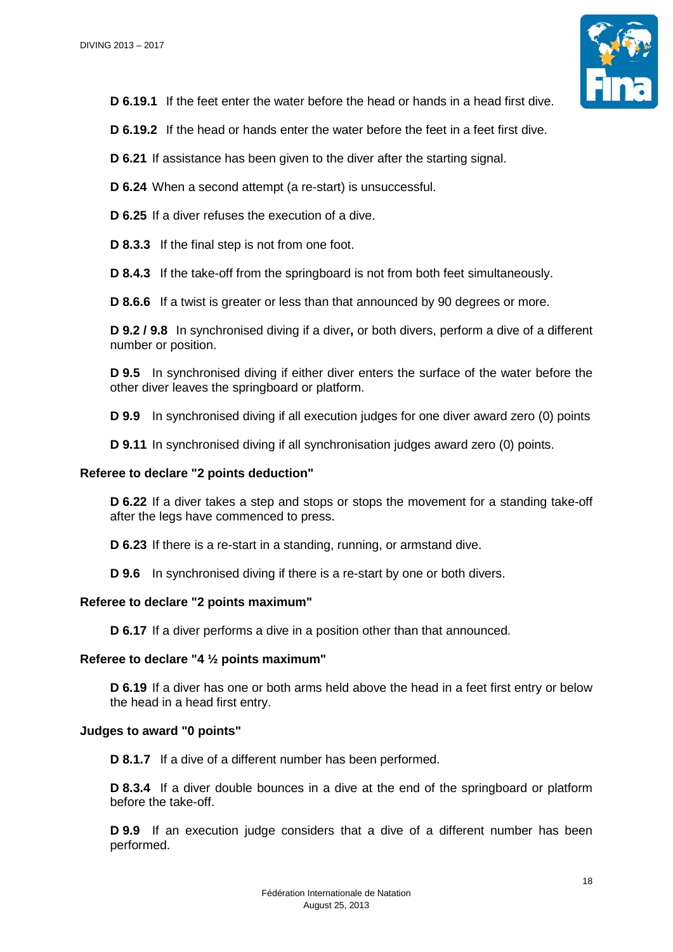

**D 6.19.1** If the feet enter the water before the head or hands in a head first dive.

**D 6.19.2** If the head or hands enter the water before the feet in a feet first dive.

**D 6.21** If assistance has been given to the diver after the starting signal.

**D 6.24** When a second attempt (a re-start) is unsuccessful.

**D 6.25** If a diver refuses the execution of a dive.

**D 8.3.3** If the final step is not from one foot.

**D 8.4.3** If the take-off from the springboard is not from both feet simultaneously.

**D 8.6.6** If a twist is greater or less than that announced by 90 degrees or more.

**D 9.2 / 9.8** In synchronised diving if a diver**,** or both divers, perform a dive of a different number or position.

**D 9.5** In synchronised diving if either diver enters the surface of the water before the other diver leaves the springboard or platform.

**D 9.9** In synchronised diving if all execution judges for one diver award zero (0) points

**D 9.11** In synchronised diving if all synchronisation judges award zero (0) points.

#### **Referee to declare "2 points deduction"**

**D 6.22** If a diver takes a step and stops or stops the movement for a standing take-off after the legs have commenced to press.

**D 6.23** If there is a re-start in a standing, running, or armstand dive.

**D 9.6** In synchronised diving if there is a re-start by one or both divers.

#### **Referee to declare "2 points maximum"**

**D 6.17** If a diver performs a dive in a position other than that announced.

#### **Referee to declare "4 ½ points maximum"**

**D 6.19** If a diver has one or both arms held above the head in a feet first entry or below the head in a head first entry.

#### **Judges to award "0 points"**

**D 8.1.7** If a dive of a different number has been performed.

**D 8.3.4** If a diver double bounces in a dive at the end of the springboard or platform before the take-off.

**D 9.9** If an execution judge considers that a dive of a different number has been performed.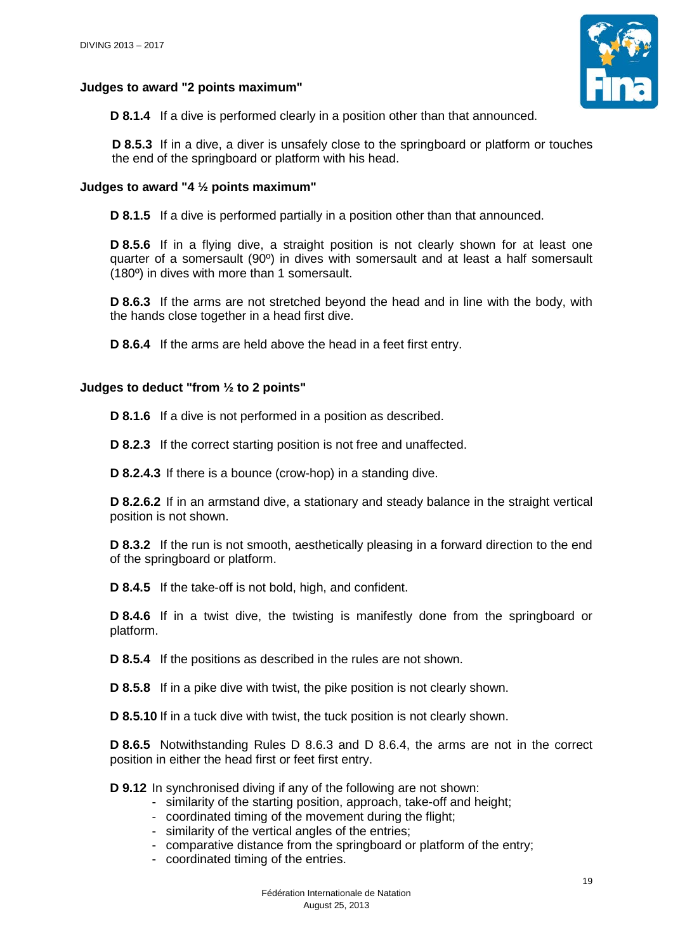## **Judges to award "2 points maximum"**



**D 8.1.4** If a dive is performed clearly in a position other than that announced.

**D 8.5.3** If in a dive, a diver is unsafely close to the springboard or platform or touches the end of the springboard or platform with his head.

## **Judges to award "4 ½ points maximum"**

**D 8.1.5** If a dive is performed partially in a position other than that announced.

**D 8.5.6** If in a flying dive, a straight position is not clearly shown for at least one quarter of a somersault (90º) in dives with somersault and at least a half somersault (180º) in dives with more than 1 somersault.

**D 8.6.3** If the arms are not stretched beyond the head and in line with the body, with the hands close together in a head first dive.

**D 8.6.4** If the arms are held above the head in a feet first entry.

#### **Judges to deduct "from ½ to 2 points"**

**D 8.1.6** If a dive is not performed in a position as described.

**D 8.2.3** If the correct starting position is not free and unaffected.

**D 8.2.4.3** If there is a bounce (crow-hop) in a standing dive.

**D 8.2.6.2** If in an armstand dive, a stationary and steady balance in the straight vertical position is not shown.

**D 8.3.2** If the run is not smooth, aesthetically pleasing in a forward direction to the end of the springboard or platform.

**D 8.4.5** If the take-off is not bold, high, and confident.

**D 8.4.6** If in a twist dive, the twisting is manifestly done from the springboard or platform.

**D 8.5.4** If the positions as described in the rules are not shown.

**D 8.5.8** If in a pike dive with twist, the pike position is not clearly shown.

**D 8.5.10** If in a tuck dive with twist, the tuck position is not clearly shown.

**D 8.6.5** Notwithstanding Rules D 8.6.3 and D 8.6.4, the arms are not in the correct position in either the head first or feet first entry.

**D 9.12** In synchronised diving if any of the following are not shown:

- similarity of the starting position, approach, take-off and height;
- coordinated timing of the movement during the flight;
- similarity of the vertical angles of the entries;
- comparative distance from the springboard or platform of the entry;
- coordinated timing of the entries.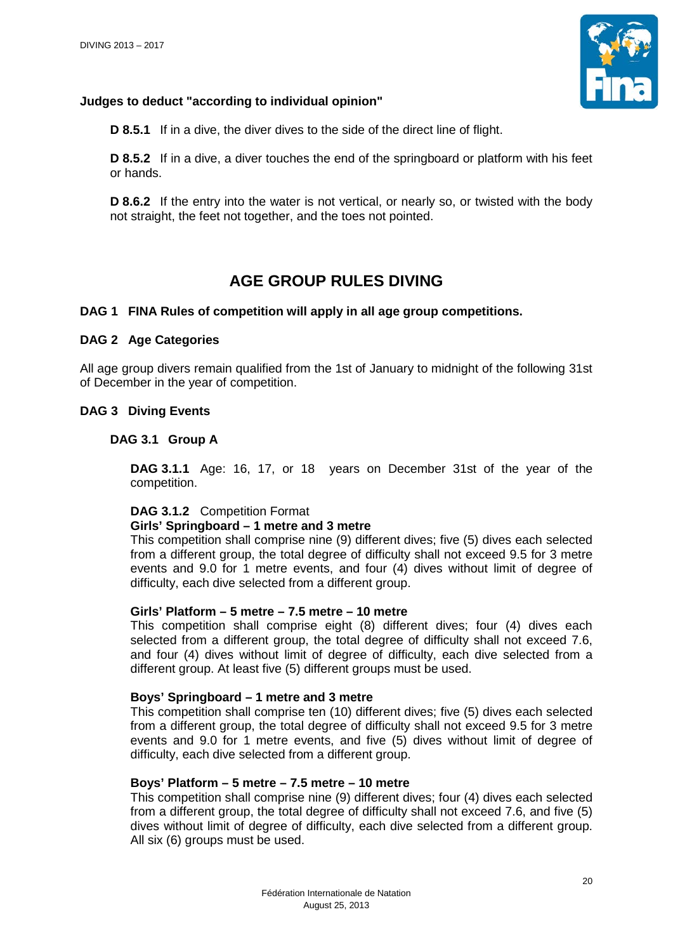

## **Judges to deduct "according to individual opinion"**

**D 8.5.1** If in a dive, the diver dives to the side of the direct line of flight.

**D** 8.5.2 If in a dive, a diver touches the end of the springboard or platform with his feet or hands.

**D 8.6.2** If the entry into the water is not vertical, or nearly so, or twisted with the body not straight, the feet not together, and the toes not pointed.

# **AGE GROUP RULES DIVING**

## **DAG 1 FINA Rules of competition will apply in all age group competitions.**

## **DAG 2 Age Categories**

All age group divers remain qualified from the 1st of January to midnight of the following 31st of December in the year of competition.

#### **DAG 3 Diving Events**

#### **DAG 3.1 Group A**

**DAG 3.1.1** Age: 16, 17, or 18 years on December 31st of the year of the competition.

## **DAG 3.1.2** Competition Format

#### **Girls' Springboard – 1 metre and 3 metre**

This competition shall comprise nine (9) different dives; five (5) dives each selected from a different group, the total degree of difficulty shall not exceed 9.5 for 3 metre events and 9.0 for 1 metre events, and four (4) dives without limit of degree of difficulty, each dive selected from a different group.

#### **Girls' Platform – 5 metre – 7.5 metre – 10 metre**

This competition shall comprise eight (8) different dives; four (4) dives each selected from a different group, the total degree of difficulty shall not exceed 7.6, and four (4) dives without limit of degree of difficulty, each dive selected from a different group. At least five (5) different groups must be used.

#### **Boys' Springboard – 1 metre and 3 metre**

This competition shall comprise ten (10) different dives; five (5) dives each selected from a different group, the total degree of difficulty shall not exceed 9.5 for 3 metre events and 9.0 for 1 metre events, and five (5) dives without limit of degree of difficulty, each dive selected from a different group.

#### **Boys' Platform – 5 metre – 7.5 metre – 10 metre**

This competition shall comprise nine (9) different dives; four (4) dives each selected from a different group, the total degree of difficulty shall not exceed 7.6, and five (5) dives without limit of degree of difficulty, each dive selected from a different group. All six (6) groups must be used.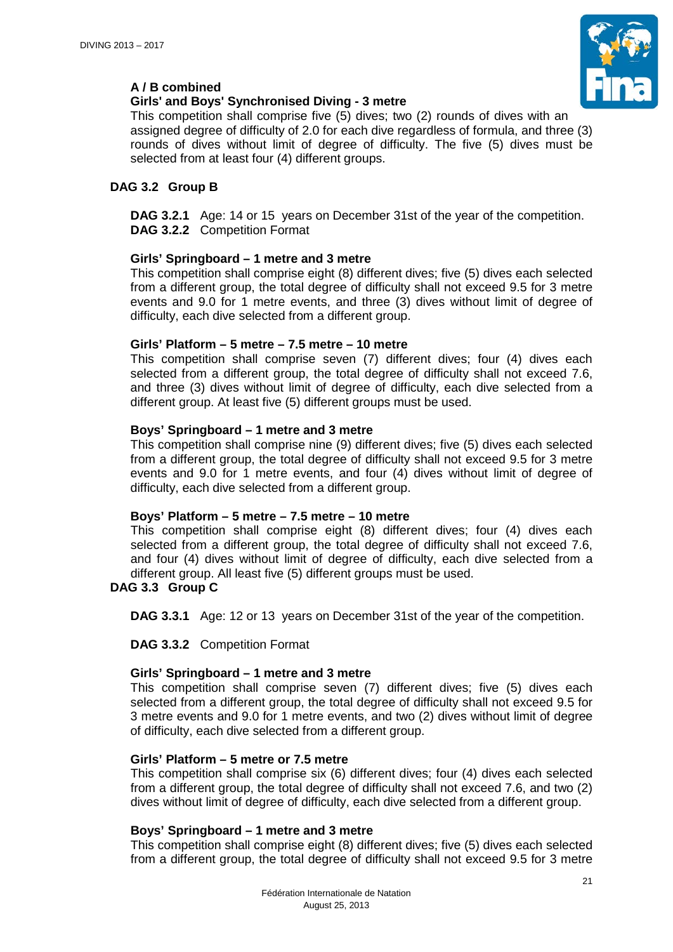

# **A / B combined**

## **Girls' and Boys' Synchronised Diving - 3 metre**

This competition shall comprise five (5) dives; two (2) rounds of dives with an assigned degree of difficulty of 2.0 for each dive regardless of formula, and three (3) rounds of dives without limit of degree of difficulty. The five (5) dives must be selected from at least four (4) different groups.

# **DAG 3.2 Group B**

**DAG 3.2.1** Age: 14 or 15 years on December 31st of the year of the competition.

**DAG 3.2.2** Competition Format

# **Girls' Springboard – 1 metre and 3 metre**

This competition shall comprise eight (8) different dives; five (5) dives each selected from a different group, the total degree of difficulty shall not exceed 9.5 for 3 metre events and 9.0 for 1 metre events, and three (3) dives without limit of degree of difficulty, each dive selected from a different group.

## **Girls' Platform – 5 metre – 7.5 metre – 10 metre**

This competition shall comprise seven (7) different dives; four (4) dives each selected from a different group, the total degree of difficulty shall not exceed 7.6, and three (3) dives without limit of degree of difficulty, each dive selected from a different group. At least five (5) different groups must be used.

## **Boys' Springboard – 1 metre and 3 metre**

This competition shall comprise nine (9) different dives; five (5) dives each selected from a different group, the total degree of difficulty shall not exceed 9.5 for 3 metre events and 9.0 for 1 metre events, and four (4) dives without limit of degree of difficulty, each dive selected from a different group.

## **Boys' Platform – 5 metre – 7.5 metre – 10 metre**

This competition shall comprise eight (8) different dives; four (4) dives each selected from a different group, the total degree of difficulty shall not exceed 7.6, and four (4) dives without limit of degree of difficulty, each dive selected from a different group. All least five (5) different groups must be used.

## **DAG 3.3 Group C**

**DAG 3.3.1** Age: 12 or 13 years on December 31st of the year of the competition.

**DAG 3.3.2** Competition Format

# **Girls' Springboard – 1 metre and 3 metre**

This competition shall comprise seven (7) different dives; five (5) dives each selected from a different group, the total degree of difficulty shall not exceed 9.5 for 3 metre events and 9.0 for 1 metre events, and two (2) dives without limit of degree of difficulty, each dive selected from a different group.

## **Girls' Platform – 5 metre or 7.5 metre**

This competition shall comprise six (6) different dives; four (4) dives each selected from a different group, the total degree of difficulty shall not exceed 7.6, and two (2) dives without limit of degree of difficulty, each dive selected from a different group.

## **Boys' Springboard – 1 metre and 3 metre**

This competition shall comprise eight (8) different dives; five (5) dives each selected from a different group, the total degree of difficulty shall not exceed 9.5 for 3 metre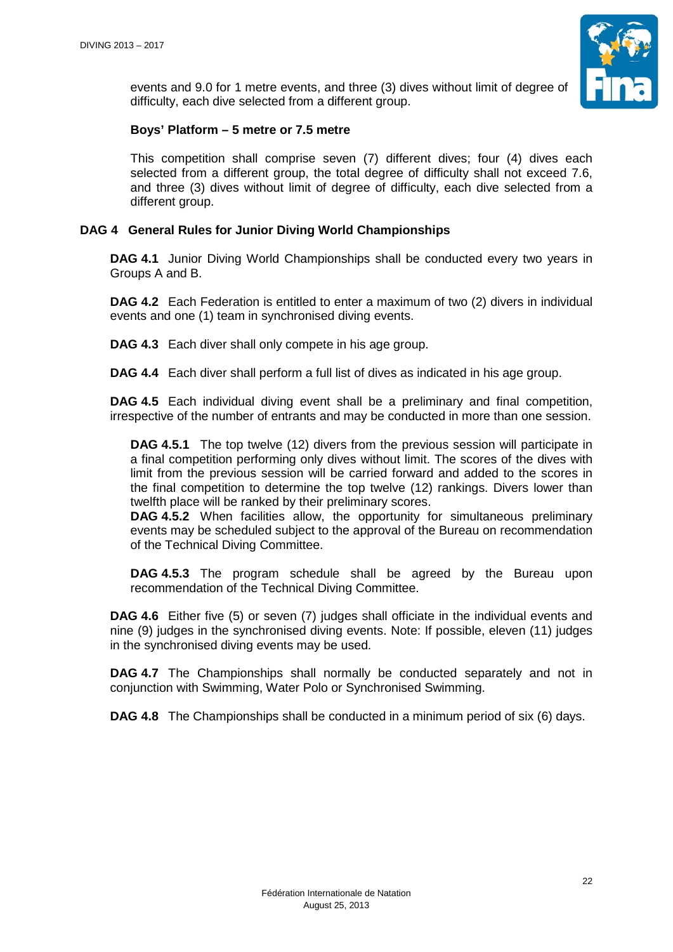

events and 9.0 for 1 metre events, and three (3) dives without limit of degree of difficulty, each dive selected from a different group.

## **Boys' Platform – 5 metre or 7.5 metre**

This competition shall comprise seven (7) different dives; four (4) dives each selected from a different group, the total degree of difficulty shall not exceed 7.6, and three (3) dives without limit of degree of difficulty, each dive selected from a different group.

## **DAG 4 General Rules for Junior Diving World Championships**

**DAG 4.1** Junior Diving World Championships shall be conducted every two years in Groups A and B.

**DAG 4.2** Each Federation is entitled to enter a maximum of two (2) divers in individual events and one (1) team in synchronised diving events.

**DAG 4.3** Each diver shall only compete in his age group.

**DAG 4.4** Each diver shall perform a full list of dives as indicated in his age group.

**DAG 4.5** Each individual diving event shall be a preliminary and final competition, irrespective of the number of entrants and may be conducted in more than one session.

**DAG 4.5.1** The top twelve (12) divers from the previous session will participate in a final competition performing only dives without limit. The scores of the dives with limit from the previous session will be carried forward and added to the scores in the final competition to determine the top twelve (12) rankings. Divers lower than twelfth place will be ranked by their preliminary scores.

**DAG 4.5.2** When facilities allow, the opportunity for simultaneous preliminary events may be scheduled subject to the approval of the Bureau on recommendation of the Technical Diving Committee.

**DAG 4.5.3** The program schedule shall be agreed by the Bureau upon recommendation of the Technical Diving Committee.

**DAG 4.6** Either five (5) or seven (7) judges shall officiate in the individual events and nine (9) judges in the synchronised diving events. Note: If possible, eleven (11) judges in the synchronised diving events may be used.

**DAG 4.7** The Championships shall normally be conducted separately and not in conjunction with Swimming, Water Polo or Synchronised Swimming.

**DAG 4.8** The Championships shall be conducted in a minimum period of six (6) days.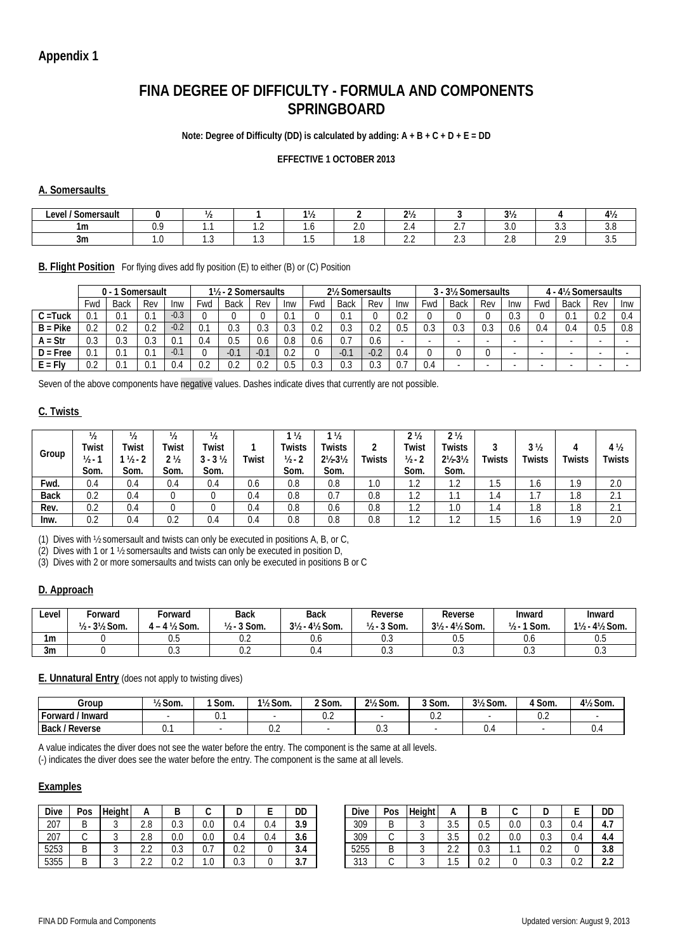# **FINA DEGREE OF DIFFICULTY - FORMULA AND COMPONENTS SPRINGBOARD**

#### **Note: Degree of Difficulty (DD) is calculated by adding: A + B + C + D + E = DD**

#### **EFFECTIVE 1 OCTOBER 2013**

#### **A. Somersaults**

| $\overline{\phantom{a}}$<br>Level '<br>Somersault |    |         |         | ,,      |          | 216<br>$\epsilon$ |                     | $\sim$<br>.,,, |   | . .<br>T / 2 |
|---------------------------------------------------|----|---------|---------|---------|----------|-------------------|---------------------|----------------|---|--------------|
| 1m                                                | v. |         | .       | .       | <u>.</u> | <u>.</u>          |                     |                | . | .            |
| -3m                                               |    | $\cdot$ | $\cdot$ | $\cdot$ |          | - -<br>ے ، ے      | $\sim$ $\sim$<br>۰۰ | <u>.</u>       |   | J.J          |

#### **B. Flight Position** For flying dives add fly position (E) to either (B) or (C) Position

|            |           | J- 1                | Somersault |        |     | 1 <sup>1</sup> / <sub>2</sub> - 2 Somersaults |        |     |           | 2½ Somersaults |        |     |          | 3 - 3½ Somersaults       |            |     |                          | 4 - 4½ Somersaults       |                |     |
|------------|-----------|---------------------|------------|--------|-----|-----------------------------------------------|--------|-----|-----------|----------------|--------|-----|----------|--------------------------|------------|-----|--------------------------|--------------------------|----------------|-----|
|            | Fwd       | Back                | Rev        | Inw    | Fwd | <b>Back</b>                                   | Rev    | Inw | Fwd       | Back           | Rev    | Inw | Fwd      | Back                     | Rev        | Inw | Fwd                      | <b>Back</b>              | Rev            | Inw |
| C =Tuck    | 0.1       | $\sim$<br>v.        | v.         | $-0.3$ |     |                                               |        | 0.1 |           | 0.1            |        | 0.2 |          |                          |            | U.J |                          | 0.1                      | 0.2            | 0.4 |
| $B = Pike$ | 0.2       | ∩ ∩<br>v.z          | 0.2        | $-0.2$ | 0.1 | 0.3                                           | 0.3    | 0.3 | v.z       | 0.3            | 0.2    | 0.5 | ∩<br>U.J | 0.3                      | ሰ 2<br>U.J | U.b | 4.ل                      | 0.4                      | 0.5            | 0.8 |
| $A = Str$  | ററ<br>U.3 | ก ว<br>U.J          | 0.3        | 0.7    | 0.4 | 0.5                                           | 0.6    | 0.8 | U.b       | 0.7            | 0.6    |     |          | $\overline{\phantom{a}}$ | ۰          |     |                          | $\overline{\phantom{a}}$ |                |     |
| $D = Free$ | U.        | $\sim$<br>v.        | v.         | $-0.1$ |     | $-0.1$                                        | $-0.1$ | 0.2 |           | $-0.1$         | $-0.2$ | 0.4 |          |                          |            |     |                          |                          |                |     |
| E = Flv    | ∩∩<br>V.Z | $\sim$ $\sim$<br>v. | v.         | V.4    | 0.2 | 0.2                                           | 0.2    | 0.5 | ູາ<br>v.J | 0.3            | 0.3    | ບ., | 0.4      |                          | ۰          | -   | $\overline{\phantom{a}}$ | $\overline{\phantom{a}}$ | $\blacksquare$ |     |

Seven of the above components have negative values. Dashes indicate dives that currently are not possible.

#### **C. Twists**

| Group       | $\frac{1}{2}$<br>Twist<br>$\frac{1}{2}$ -<br>Som. | $\frac{1}{2}$<br>Twist<br>$1/2 - 2$<br>Som. | $\frac{1}{2}$<br>Twist<br>2 ½<br>Som. | $\frac{1}{2}$<br>Twist<br>$3 - 3\frac{1}{2}$<br>Som. | Twist | $\frac{1}{2}$<br>Twists<br>$1/2 - 2$<br>Som. | $\frac{1}{2}$<br><b>Twists</b><br>$2\frac{1}{2} - 3\frac{1}{2}$<br>Som. | ◠<br><b>Twists</b> | 2 <sub>2</sub><br>Twist<br>$1/2 - 2$<br>Som. | 2 <sub>2</sub><br>Twists<br>$2\frac{1}{2} \cdot 3\frac{1}{2}$<br>Som. | <b>Twists</b> | 3 <sub>2</sub><br><b>Twists</b> | <b>Twists</b>   | 4 ½<br><b>Twists</b> |
|-------------|---------------------------------------------------|---------------------------------------------|---------------------------------------|------------------------------------------------------|-------|----------------------------------------------|-------------------------------------------------------------------------|--------------------|----------------------------------------------|-----------------------------------------------------------------------|---------------|---------------------------------|-----------------|----------------------|
| Fwd.        | 0.4                                               | 0.4                                         | 0.4                                   | 0.4                                                  | 0.6   | 0.8                                          | 0.8                                                                     | 1.0                | ົ<br>ے ،                                     | ົ<br>ے ، ا                                                            | ن. ا          | I .O                            | . .             | 2.0                  |
| <b>Back</b> | 0.2                                               | 0.4                                         |                                       |                                                      | 0.4   | $0.8\,$                                      | 0.7                                                                     | 0.8                | ົ<br>.                                       | 1.1                                                                   | 1.4           | .                               | $\circ$<br>l.ŏ  | $^{\circ}$ 1<br>Z.I  |
| Rev.        | 0.2                                               | 0.4                                         |                                       |                                                      | 0.4   | 0.8                                          | 0.6                                                                     | 0.8                | ົ<br>.                                       | 1.0                                                                   | .4            | l.ŏ                             | 8. ا            | $^{\circ}$ 1<br>Z.   |
| Inw.        | 0.2                                               | 0.4                                         | 0.2                                   | 0.4                                                  | 0.4   | $0.8\,$                                      | 0.8                                                                     | 0.8                | $\sim$<br>ے ،                                | $\sim$<br>ے ،                                                         | ن. ا          | I .O                            | $\Omega$<br>. . | 2.0                  |

(1) Dives with ½ somersault and twists can only be executed in positions A, B, or C,

(2) Dives with 1 or 1 ½ somersaults and twists can only be executed in position D,

(3) Dives with 2 or more somersaults and twists can only be executed in positions B or C

#### **D. Approach**

| Level | Forward<br>$1/2 - 31/2$ Som. | Forward<br>$1 - 4$ $\frac{1}{2}$ Som. | <b>Back</b><br>२ Som.<br>$1/2 - 3$ | <b>Back</b><br>$3\frac{1}{2}$ - 4 $\frac{1}{2}$ Som. | Reverse<br>$1/2 - 3$ Som. | Reverse<br>$3\frac{1}{2}$ - 4 $\frac{1}{2}$ Som. | Inward<br>1 Som.<br>$1/2 - 1$ | Inward<br>1½ - 4½ Som. |
|-------|------------------------------|---------------------------------------|------------------------------------|------------------------------------------------------|---------------------------|--------------------------------------------------|-------------------------------|------------------------|
| 1m    |                              | U.5                                   | $\sim$ $\sim$<br>v.z               | v.u                                                  | v.J                       | $\sim$ $\sim$<br>U.5                             | v.c                           | 0.5                    |
| 3m    |                              | U.J                                   | $\sim$ $\sim$<br>v.z               |                                                      | v.J                       | $\sim$<br>U.J                                    | U.J                           | <b>U.J</b>             |

#### **E. Unnatural Entry** (does not apply to twisting dives)

| Group                | $\frac{1}{2}$ Som. | Som. | 1½ Som. | <sup>2</sup> Som. | 2½ Som. | 3 Som.               | $3\frac{1}{2}$<br>Som. | Som. | 4½ Som. |
|----------------------|--------------------|------|---------|-------------------|---------|----------------------|------------------------|------|---------|
| -orward.<br>' Inward |                    | ັ.   |         | v.z               |         | $\sim$ $\sim$<br>v.z |                        | v.z  |         |
| ' Reverse<br>Back,   | U.                 |      | v.z     |                   | v.J     |                      | ∪.∙                    |      | v.,     |

A value indicates the diver does not see the water before the entry. The component is the same at all levels.

(-) indicates the diver does see the water before the entry. The component is the same at all levels.

#### **Examples**

| Dive | Pos | Height | А                      | ∼                    |            |                      |     | DD                   | Dive         | Pos | Heigh |                        | r<br>ப               |               | ш                    |                      | DD              |
|------|-----|--------|------------------------|----------------------|------------|----------------------|-----|----------------------|--------------|-----|-------|------------------------|----------------------|---------------|----------------------|----------------------|-----------------|
| 207  |     |        | $\Omega$<br>Z.O        | $\sim$<br>u.J        | ∩ ∩<br>U.U | $\sim$<br>J.4        | 9.4 | <b>20</b><br>J. /    | 309          |     |       | $\sim$<br>J.J          | $\sim$ $\sim$<br>v.J | $\cap$<br>v.v | $\sim$<br>υ.υ        | $\sim$<br>U.4        | −.,             |
| 207  |     |        | റ റ<br>Z.O             | 0.0                  | 0.0        | $\sim$<br>J.4        | U.4 | $\sim$<br>3.6        | 309          |     |       | J.J                    | $\sim$ $\sim$<br>v.z | $\cap$<br>v.v | $\sim$ $\sim$<br>U.J | $\sim$<br>V.4        | 4.5             |
| 5253 |     |        | $\sim$ $\sim$<br>ے ، ک | $\sim$ $\sim$<br>v.J | U. /       | $\sim$ $\sim$<br>U.Z |     | $\sim$<br>3.4        | 5255         | u   |       | $\sim$ $\sim$<br>ے . ۔ | $\sim$ $\sim$<br>U.J | .             | $\sim$ $\sim$<br>v.z |                      | റ റ<br>J.U      |
| 5355 |     |        | $\sim$ $\sim$<br>ے ، ک | $\sim$ $\sim$<br>U.L | . v        | $\sim$ $\sim$<br>v.J |     | $\sim$ $\sim$<br>J.I | 040<br>ں ا ں |     |       | ن. ا                   | $\sim$ $\sim$<br>v.z |               | $\sim$ $\sim$<br>U.J | $\sim$ $\sim$<br>v.z | $\sim$<br>ے . ۔ |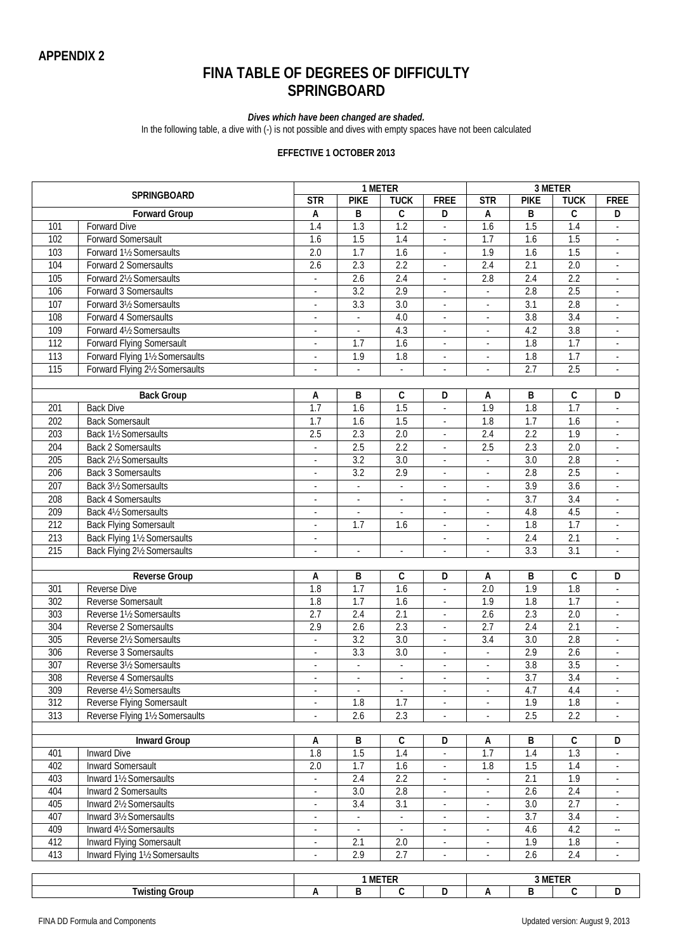# **FINA TABLE OF DEGREES OF DIFFICULTY SPRINGBOARD**

#### *Dives which have been changed are shaded.*

In the following table, a dive with (-) is not possible and dives with empty spaces have not been calculated

#### **EFFECTIVE 1 OCTOBER 2013**

|                  |                                  |                          |                          | 1 METER                  |                          |                          |                  | 3 METER          |                             |
|------------------|----------------------------------|--------------------------|--------------------------|--------------------------|--------------------------|--------------------------|------------------|------------------|-----------------------------|
|                  | SPRINGBOARD                      | $\overline{\text{STR}}$  | <b>PIKE</b>              | <b>TUCK</b>              | <b>FREE</b>              | STR                      | <b>PIKE</b>      | <b>TUCK</b>      | <b>FREE</b>                 |
|                  | <b>Forward Group</b>             | Α                        | B                        | C                        | D                        | Α                        | B                | $\mathsf{C}$     | D                           |
| 101              | <b>Forward Dive</b>              | $\overline{1.4}$         | $\overline{1.3}$         | $\overline{1.2}$         | $\overline{\phantom{a}}$ | 1.6                      | 1.5              | 1.4              | ÷.                          |
| 102              | <b>Forward Somersault</b>        | 1.6                      | 1.5                      | 1.4                      | ÷,                       | 1.7                      | 1.6              | 1.5              | $\overline{\phantom{a}}$    |
| 103              | Forward 11/2 Somersaults         | $\overline{2.0}$         | 1.7                      | 1.6                      | ÷,                       | 1.9                      | 1.6              | $\overline{1.5}$ |                             |
| 104              | Forward 2 Somersaults            | $\overline{2.6}$         | 2.3                      | 2.2                      | ÷,                       | 2.4                      | 2.1              | $\overline{2.0}$ | $\mathcal{L}_{\mathcal{A}}$ |
| 105              | Forward 21/2 Somersaults         |                          | 2.6                      | 2.4                      | $\overline{\phantom{a}}$ | 2.8                      | 2.4              | 2.2              | $\overline{\phantom{a}}$    |
| 106              | Forward 3 Somersaults            |                          | $\overline{3.2}$         | 2.9                      | ÷,                       |                          | $\overline{2.8}$ | 2.5              |                             |
| 107              | Forward 31/2 Somersaults         | $\sim$                   | $\overline{3.3}$         | $\overline{3.0}$         | $\blacksquare$           |                          | $\overline{3.1}$ | 2.8              |                             |
| 108              | Forward 4 Somersaults            |                          |                          | 4.0                      | $\overline{\phantom{a}}$ |                          | $\overline{3.8}$ | $\overline{3.4}$ |                             |
| 109              | Forward 41/2 Somersaults         |                          | L.                       | 4.3                      | L,                       | ä,                       | 4.2              | $\overline{3.8}$ | $\mathcal{L}$               |
| 112              | <b>Forward Flying Somersault</b> | ×.                       | $\overline{1.7}$         | 1.6                      | $\blacksquare$           | $\mathbf{r}$             | $\overline{1.8}$ | $\overline{1.7}$ | ÷.                          |
| 113              | Forward Flying 11/2 Somersaults  | ×.                       | 1.9                      | 1.8                      | $\blacksquare$           | $\blacksquare$           | 1.8              | 1.7              | $\mathcal{L}_{\mathcal{A}}$ |
| 115              | Forward Flying 21/2 Somersaults  | $\mathbf{r}$             | ÷.                       | $\overline{\phantom{a}}$ | $\mathcal{L}$            | ä,                       | 2.7              | 2.5              | ÷.                          |
|                  |                                  |                          |                          |                          |                          |                          |                  |                  |                             |
|                  | <b>Back Group</b>                | A                        | $\sf B$                  | С                        | D                        | А                        | B                | $\mathsf C$      | D                           |
| 201              | <b>Back Dive</b>                 | 1.7                      | $\overline{1.6}$         | 1.5                      | ä,                       | $\overline{1.9}$         | $\overline{1.8}$ | 1.7              |                             |
| 202              | <b>Back Somersault</b>           | $\overline{1.7}$         | 1.6                      | $\overline{1.5}$         | ÷,                       | 1.8                      | $\overline{1.7}$ | $\overline{1.6}$ | $\mathcal{L}_{\mathcal{A}}$ |
| $\overline{203}$ | Back 11/2 Somersaults            | 2.5                      | 2.3                      | 2.0                      | $\blacksquare$           | 2.4                      | 2.2              | 1.9              |                             |
| 204              | <b>Back 2 Somersaults</b>        | ä,                       | 2.5                      | 2.2                      | $\mathcal{L}$            | 2.5                      | 2.3              | $\overline{2.0}$ | $\mathcal{L}_{\mathcal{A}}$ |
| 205              | Back 21/2 Somersaults            |                          | 3.2                      | 3.0                      | $\overline{\phantom{a}}$ | $\overline{\phantom{a}}$ | 3.0              | 2.8              |                             |
| 206              | <b>Back 3 Somersaults</b>        | $\blacksquare$           | 3.2                      | 2.9                      | $\blacksquare$           | $\mathbb{Z}^2$           | 2.8              | 2.5              |                             |
| 207              | Back 31/2 Somersaults            | $\mathbf{r}$             | ä,                       | ä,                       | ÷,                       | $\mathbb{Z}^2$           | 3.9              | $\overline{3.6}$ | ÷.                          |
| 208              | <b>Back 4 Somersaults</b>        |                          |                          |                          |                          |                          | 3.7              | $\overline{3.4}$ |                             |
| 209              | Back 41/2 Somersaults            | $\overline{\phantom{a}}$ | $\overline{\phantom{a}}$ | $\overline{\phantom{a}}$ | $\overline{\phantom{a}}$ | $\blacksquare$           | 4.8              | 4.5              | $\overline{\phantom{a}}$    |
|                  |                                  | $\overline{\phantom{a}}$ | $\overline{\phantom{a}}$ | $\overline{\phantom{a}}$ | $\overline{\phantom{a}}$ | $\overline{\phantom{a}}$ |                  |                  | $\sim$                      |
| 212              | <b>Back Flying Somersault</b>    | $\overline{\phantom{a}}$ | 1.7                      | 1.6                      | $\overline{\phantom{a}}$ | $\blacksquare$           | 1.8              | 1.7              | $\sim$                      |
| 213              | Back Flying 11/2 Somersaults     | $\overline{\phantom{a}}$ |                          |                          | $\overline{\phantom{a}}$ | $\overline{\phantom{a}}$ | 2.4              | 2.1              | $\overline{\phantom{a}}$    |
| $\overline{215}$ | Back Flying 21/2 Somersaults     | $\overline{\phantom{a}}$ | ÷,                       | $\overline{\phantom{a}}$ | ÷,                       | ä,                       | $\overline{3.3}$ | $\overline{3.1}$ | $\overline{\phantom{a}}$    |
|                  | <b>Reverse Group</b>             | Α                        | B                        | C                        | D                        | Α                        | B                | $\overline{c}$   | D                           |
| 301              | <b>Reverse Dive</b>              | 1.8                      | 1.7                      | 1.6                      | $\mathbb{Z}$             | 2.0                      | 1.9              | 1.8              |                             |
| 302              | Reverse Somersault               | 1.8                      | 1.7                      | 1.6                      | $\overline{\phantom{a}}$ | 1.9                      | 1.8              | 1.7              | ÷                           |
| 303              | Reverse 11/2 Somersaults         | 2.7                      | 2.4                      | $\overline{2.1}$         | $\blacksquare$           | 2.6                      | 2.3              | 2.0              | ÷.                          |
| 304              | Reverse 2 Somersaults            | 2.9                      | $\overline{2.6}$         | 2.3                      | $\overline{\phantom{a}}$ | 2.7                      | 2.4              | $\overline{2.1}$ | $\sim$                      |
| 305              | Reverse 21/2 Somersaults         | $\overline{\phantom{a}}$ | 3.2                      | 3.0                      | $\overline{\phantom{a}}$ | 3.4                      | 3.0              | 2.8              | $\overline{\phantom{a}}$    |
| 306              | Reverse 3 Somersaults            |                          | 3.3                      | $\overline{3.0}$         | ÷,                       | $\mathbf{r}$             | 2.9              | $\overline{2.6}$ | $\mathcal{L}_{\mathcal{A}}$ |
| 307              | Reverse 3½ Somersaults           | $\overline{\phantom{a}}$ | $\overline{\phantom{a}}$ | $\omega$                 | $\overline{\phantom{a}}$ | $\overline{\phantom{a}}$ | $\overline{3.8}$ | 3.5              | $\sim$                      |
| 308              | Reverse 4 Somersaults            | $\sim$                   |                          | $\mathbf{r}$             | $\sim$                   |                          | $\overline{3.7}$ | 3.4              |                             |
| 309              | Reverse 41/2 Somersaults         |                          | ÷.                       | $\overline{\phantom{a}}$ |                          |                          | 4.7              | 4.4              |                             |
| 312              | Reverse Flying Somersault        | $\mathbf{r}$             | 1.8                      | $\overline{1.7}$         | $\Box$                   | ä,                       | $\overline{1.9}$ | 1.8              | ×.                          |
| 313              | Reverse Flying 11/2 Somersaults  | $\mathbf{r}$             | 2.6                      | 2.3                      | $\blacksquare$           | $\blacksquare$           | 2.5              | 2.2              | $\sim$                      |
|                  |                                  |                          |                          |                          |                          |                          |                  |                  |                             |
|                  | <b>Inward Group</b>              | А                        | В                        | C                        | D                        | A                        | В                | C                | D                           |
| 401              | <b>Inward Dive</b>               | $1.8\,$                  | 1.5                      | 1.4                      | $\blacksquare$           | 1.7                      | 1.4              | 1.3              |                             |
| 402              | Inward Somersault                | $\overline{2.0}$         | 1.7                      | $\overline{1.6}$         | $\blacksquare$           | 1.8                      | 1.5              | 1.4              |                             |
| 403              | Inward 11/2 Somersaults          |                          | 2.4                      | 2.2                      |                          |                          | 2.1              | 1.9              |                             |
| 404              | Inward 2 Somersaults             | ä,                       | 3.0                      | 2.8                      | $\mathbb{Z}^2$           | ÷.                       | 2.6              | 2.4              | ÷.                          |
| 405              | Inward 21/2 Somersaults          | $\overline{\phantom{a}}$ | 3.4                      | 3.1                      | $\blacksquare$           | $\overline{\phantom{a}}$ | 3.0              | 2.7              | $\blacksquare$              |
| 407              | Inward 31/2 Somersaults          | $\overline{\phantom{a}}$ | $\blacksquare$           | $\blacksquare$           | $\overline{\phantom{a}}$ | $\blacksquare$           | $\overline{3.7}$ | 3.4              | $\overline{\phantom{a}}$    |
| 409              | Inward 41/2 Somersaults          | $\overline{\phantom{a}}$ |                          |                          | $\overline{\phantom{a}}$ | $\overline{\phantom{a}}$ | 4.6              | 4.2              | 4                           |
| 412              | Inward Flying Somersault         |                          | 2.1                      | $2.0\,$                  | $\blacksquare$           | $\overline{\phantom{a}}$ | 1.9              | 1.8              |                             |
| 413              | Inward Flying 11/2 Somersaults   |                          | 2.9                      | 2.7                      |                          |                          | 2.6              | 2.4              |                             |
|                  |                                  |                          |                          |                          |                          |                          |                  |                  |                             |
|                  |                                  |                          |                          | 1 METER                  |                          |                          |                  | 3 METER          |                             |
|                  | <b>Twisting Group</b>            | A                        | B                        | $\mathsf C$              | D                        | A                        | B                | $\mathsf{C}$     | D                           |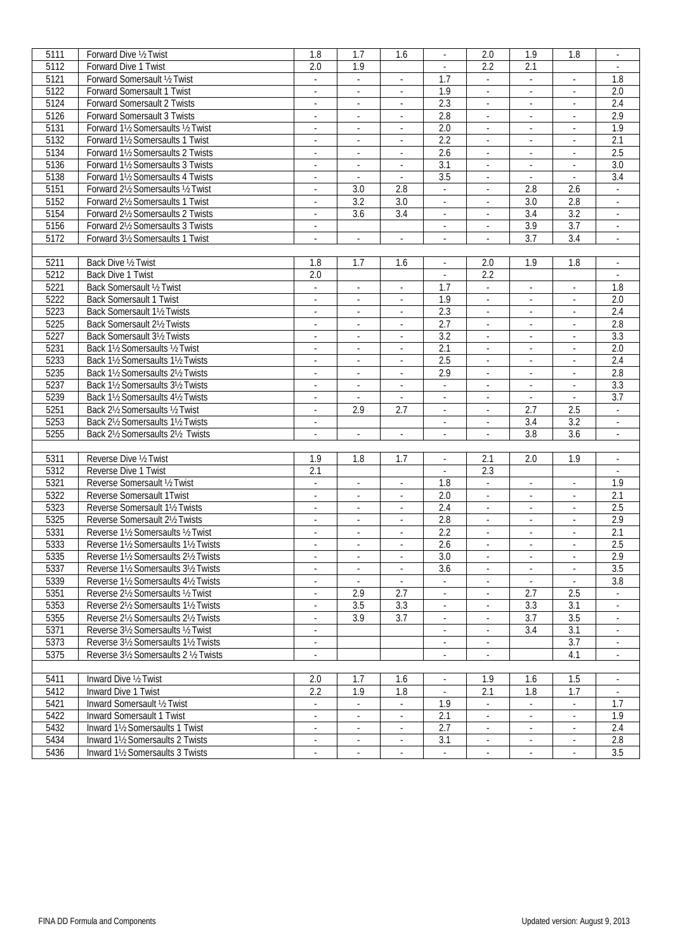| 5111         | Forward Dive 1/2 Twist                                               | 1.8                                        | 1.7                                | 1.6                                | $\sim$                      | 2.0                                   | 1.9                                                  | 1.8                       | $\sim$                      |
|--------------|----------------------------------------------------------------------|--------------------------------------------|------------------------------------|------------------------------------|-----------------------------|---------------------------------------|------------------------------------------------------|---------------------------|-----------------------------|
| 5112         | Forward Dive 1 Twist                                                 | 2.0                                        | 1.9                                |                                    |                             | 2.2                                   | 2.1                                                  |                           |                             |
| 5121         | Forward Somersault 1/2 Twist                                         | $\mathcal{L}_{\mathcal{A}}$                | $\sim$                             | $\sim$                             | 1.7                         | $\mathbb{Z}^{\times}$                 | $\mathcal{L}$                                        |                           | 1.8                         |
| 5122         | Forward Somersault 1 Twist                                           | $\blacksquare$                             | $\overline{\phantom{a}}$           |                                    | 1.9                         | ä,                                    | $\blacksquare$                                       |                           | 2.0                         |
|              |                                                                      |                                            |                                    |                                    |                             |                                       |                                                      |                           |                             |
| 5124         | Forward Somersault 2 Twists                                          | $\mathcal{L}_{\mathcal{A}}$                | $\omega$                           | ÷.                                 | 2.3                         | L,                                    | ä,                                                   | ÷,                        | 2.4                         |
| 5126         | Forward Somersault 3 Twists                                          | $\blacksquare$                             | $\omega$                           | $\overline{\phantom{a}}$           | 2.8                         | $\mathcal{L}_{\mathcal{A}}$           | $\overline{\phantom{a}}$                             | $\overline{\phantom{a}}$  | 2.9                         |
| 5131         | Forward 11/2 Somersaults 1/2 Twist                                   | $\mathcal{L}_{\mathcal{A}}$                | $\mathcal{L}_{\mathcal{A}}$        | $\overline{\phantom{a}}$           | 2.0                         | ÷.                                    | $\omega$                                             | $\blacksquare$            | 1.9                         |
| 5132         | Forward 11/2 Somersaults 1 Twist                                     | $\overline{\phantom{a}}$                   | $\overline{\phantom{a}}$           | $\sim$                             | 2.2                         | ä,                                    | $\overline{\phantom{a}}$                             | $\overline{\phantom{a}}$  | 2.1                         |
| 5134         | Forward 11/2 Somersaults 2 Twists                                    | $\overline{\phantom{a}}$                   |                                    | $\overline{\phantom{a}}$           | 2.6                         |                                       | $\overline{\phantom{a}}$                             |                           | 2.5                         |
| 5136         | Forward 11/2 Somersaults 3 Twists                                    | $\blacksquare$                             | $\mathcal{L}_{\mathcal{A}}$        | $\omega$                           | $\overline{3.1}$            | ä,                                    | $\Box$                                               | $\blacksquare$            | 3.0                         |
|              |                                                                      |                                            |                                    |                                    |                             |                                       |                                                      |                           |                             |
| 5138         | Forward 11/2 Somersaults 4 Twists                                    | $\sim$                                     | $\sim$                             | $\sim$                             | 3.5                         | $\bullet$                             | $\bullet$                                            | $\overline{\phantom{a}}$  | 3.4                         |
| 5151         | Forward 21/2 Somersaults 1/2 Twist                                   | $\overline{\phantom{a}}$                   | 3.0                                | 2.8                                | $\sim$                      | $\blacksquare$                        | 2.8                                                  | 2.6                       | $\sim$                      |
| 5152         | Forward 2 <sup>1</sup> / <sub>2</sub> Somersaults 1 Twist            | $\blacksquare$                             | 3.2                                | 3.0                                | $\sim$                      | $\overline{\phantom{a}}$              | 3.0                                                  | 2.8                       | $\mathcal{L}_{\mathcal{A}}$ |
| 5154         | Forward 21/2 Somersaults 2 Twists                                    | $\mathcal{L}$                              | 3.6                                | $\overline{3.4}$                   | $\mathcal{L}$               | ä,                                    | $\overline{3.4}$                                     | $\overline{3.2}$          |                             |
| 5156         | Forward 21/2 Somersaults 3 Twists                                    | $\sim$                                     |                                    |                                    | $\mathbb{Z}^{\times}$       | $\overline{\phantom{a}}$              | 3.9                                                  | $\overline{3.7}$          | $\mathcal{L}_{\mathcal{A}}$ |
| 5172         | Forward 31/2 Somersaults 1 Twist                                     | $\blacksquare$                             | $\sim$                             | $\overline{\phantom{a}}$           | $\blacksquare$              | $\overline{\phantom{a}}$              | 3.7                                                  | 3.4                       | $\sim$                      |
|              |                                                                      |                                            |                                    |                                    |                             |                                       |                                                      |                           |                             |
|              |                                                                      |                                            |                                    |                                    |                             |                                       |                                                      |                           |                             |
| 5211         | Back Dive 1/2 Twist                                                  | 1.8                                        | 1.7                                | 1.6                                | $\blacksquare$              | 2.0                                   | 1.9                                                  | 1.8                       | $\sim$                      |
| 5212         | Back Dive 1 Twist                                                    | $\overline{2.0}$                           |                                    |                                    | $\sim$                      | 2.2                                   |                                                      |                           |                             |
| 5221         | Back Somersault 1/2 Twist                                            | $\mathbb{Z}^{\mathbb{Z}}$                  | ÷.                                 | $\mathcal{L}$                      | 1.7                         | $\mathbb{Z}^{\mathbb{Z}}$             | ÷.                                                   | $\mathbb{Z}^{\mathbb{Z}}$ | 1.8                         |
| 5222         | <b>Back Somersault 1 Twist</b>                                       | $\mathbb{Z}^{\times}$                      | $\sim$                             | $\mathcal{L}_{\mathcal{A}}$        | 1.9                         | $\mathbb{Z}^{\times}$                 | $\Box$                                               | $\overline{\phantom{a}}$  | 2.0                         |
| 5223         | Back Somersault 11/2 Twists                                          | $\overline{\phantom{a}}$                   | $\sim$                             | $\overline{\phantom{a}}$           | 2.3                         | $\overline{\phantom{a}}$              | ÷                                                    |                           | 2.4                         |
| 5225         | Back Somersault 21/2 Twists                                          | $\blacksquare$                             | $\overline{\phantom{a}}$           | $\sim$                             | $\overline{2.7}$            | $\overline{\phantom{a}}$              | $\blacksquare$                                       | $\sim$                    | 2.8                         |
| 5227         | Back Somersault 31/2 Twists                                          | $\blacksquare$                             | $\sim$                             | $\overline{\phantom{a}}$           | $\overline{3.2}$            |                                       | ÷,                                                   |                           | $\overline{3.3}$            |
|              |                                                                      |                                            |                                    |                                    | 2.1                         | L,                                    |                                                      |                           |                             |
| 5231         | Back 1½ Somersaults ½ Twist                                          | $\omega$                                   | $\omega$                           | ÷.                                 |                             |                                       | ä,                                                   | $\overline{\phantom{a}}$  | 2.0                         |
| 5233         | Back 11/2 Somersaults 11/2 Twists                                    | $\mathbb{Z}^{\times}$                      | $\sim$                             | $\mathcal{L}_{\mathcal{A}}$        | 2.5                         | $\blacksquare$                        | $\Box$                                               | $\overline{\phantom{a}}$  | 2.4                         |
| 5235         | Back 11/2 Somersaults 21/2 Twists                                    | $\overline{\phantom{a}}$                   | $\overline{\phantom{a}}$           | $\overline{\phantom{a}}$           | 2.9                         | ÷                                     | $\overline{\phantom{a}}$                             | $\overline{\phantom{a}}$  | 2.8                         |
| 5237         | Back 11/2 Somersaults 31/2 Twists                                    | $\blacksquare$                             | $\overline{\phantom{a}}$           | $\sim$                             | $\mathcal{L}$               | $\blacksquare$                        | $\sim$                                               | $\mathcal{L}$             | 3.3                         |
| 5239         | Back 1½ Somersaults 4½ Twists                                        | $\blacksquare$                             |                                    | $\mathcal{L}_{\mathcal{A}}$        | $\sim$                      | $\blacksquare$                        | $\sim$                                               |                           | 3.7                         |
| 5251         | Back 2½ Somersaults ½ Twist                                          | $\omega$                                   | 2.9                                | 2.7                                | $\mathbb{Z}^2$              | ÷.                                    | 2.7                                                  | 2.5                       | $\mathbb{Z}^{\mathbb{Z}}$   |
| 5253         | Back 21/2 Somersaults 11/2 Twists                                    | $\overline{\phantom{a}}$                   |                                    |                                    | $\overline{\phantom{a}}$    | $\overline{\phantom{a}}$              | $3.4\,$                                              | 3.2                       | $\omega$                    |
| 5255         | Back 21/2 Somersaults 21/2 Twists                                    | $\overline{\phantom{a}}$                   | $\blacksquare$                     |                                    | $\overline{\phantom{a}}$    | $\overline{\phantom{a}}$              | 3.8                                                  | 3.6                       |                             |
|              |                                                                      |                                            |                                    | $\overline{\phantom{a}}$           |                             |                                       |                                                      |                           | $\sim$                      |
|              |                                                                      |                                            |                                    |                                    |                             |                                       |                                                      |                           |                             |
| 5311         | Reverse Dive 1/2 Twist                                               | 1.9                                        | 1.8                                | 1.7                                | $\mathcal{L}_{\mathcal{A}}$ | 2.1                                   | 2.0                                                  | 1.9                       | $\mathcal{L}_{\mathcal{A}}$ |
| 5312         | Reverse Dive 1 Twist                                                 | 2.1                                        |                                    |                                    | $\mathcal{L}$               | 2.3                                   |                                                      |                           |                             |
| 5321         | Reverse Somersault 1/2 Twist                                         | $\mathbb{Z}^{\mathbb{Z}}$                  | $\sim$                             | $\overline{\phantom{a}}$           | 1.8                         | $\mathbb{Z}^{\mathbb{Z}}$             | ÷.                                                   | $\blacksquare$            | 1.9                         |
| 5322         | Reverse Somersault 1Twist                                            | $\blacksquare$                             | $\sim$                             | $\overline{\phantom{a}}$           | 2.0                         | $\blacksquare$                        | $\sim$                                               | $\overline{\phantom{a}}$  | 2.1                         |
| 5323         | Reverse Somersault 11/2 Twists                                       | $\blacksquare$                             | $\sim$                             | $\overline{\phantom{a}}$           | 2.4                         | $\overline{\phantom{a}}$              | $\blacksquare$                                       | $\blacksquare$            | 2.5                         |
| 5325         | Reverse Somersault 21/2 Twists                                       | $\blacksquare$                             | $\sim$                             | $\sim$                             | 2.8                         | $\overline{\phantom{a}}$              | $\overline{\phantom{a}}$                             | $\omega$                  | 2.9                         |
| 5331         | Reverse 11/2 Somersaults 1/2 Twist                                   | $\blacksquare$                             | $\overline{\phantom{a}}$           | $\Box$                             | 2.2                         | ä,                                    | ä,                                                   | $\mathcal{L}$             | 2.1                         |
| 5333         | Reverse 11/2 Somersaults 11/2 Twists                                 |                                            |                                    |                                    | 2.6                         |                                       |                                                      |                           |                             |
|              |                                                                      | $\blacksquare$                             | $\sim$                             | $\mathcal{L}_{\mathcal{A}}$        |                             | $\blacksquare$                        | $\blacksquare$                                       | $\blacksquare$            | 2.5                         |
| 5335         | Reverse 11/2 Somersaults 21/2 Twists                                 | $\sim$                                     | $\sim$                             | $\sim$                             | 3.0                         | $\sim$                                | $\sim$                                               | $\sim$                    | 2.9                         |
| 5337         | Reverse 11/2 Somersaults 31/2 Twists                                 | ÷.                                         | ÷.                                 | $\overline{\phantom{a}}$           | 3.6                         | $\mathbf{r}$                          |                                                      | $\mathbb{Z}$              | 3.5                         |
| 5339         | Reverse 1½ Somersaults 4½ Twists                                     | $\blacksquare$                             |                                    |                                    | $\sim$                      | $\overline{\phantom{a}}$              |                                                      |                           | 3.8                         |
| 5351         | Reverse 21/2 Somersaults 1/2 Twist                                   |                                            | 2.9                                | 2.7                                |                             |                                       | 2.7                                                  | 2.5                       |                             |
| 5353         | Reverse 21/2 Somersaults 11/2 Twists                                 | $\blacksquare$                             | 3.5                                | 3.3                                | $\mathbb{Z}^2$              | $\overline{\phantom{a}}$              | 3.3                                                  | 3.1                       | $\blacksquare$              |
| 5355         | Reverse 21/2 Somersaults 21/2 Twists                                 | $\sim$                                     | 3.9                                | 3.7                                | $\sim$                      | ÷                                     | 3.7                                                  | 3.5                       | $\sim$                      |
| 5371         | Reverse 31/2 Somersaults 1/2 Twist                                   | $\blacksquare$                             |                                    |                                    | $\sim$                      | $\blacksquare$                        | 3.4                                                  | 3.1                       |                             |
| 5373         | Reverse 3½ Somersaults 1½ Twists                                     | $\blacksquare$                             |                                    |                                    |                             |                                       |                                                      | 3.7                       |                             |
|              |                                                                      |                                            |                                    |                                    |                             | $\overline{\phantom{a}}$              |                                                      |                           |                             |
| 5375         | Reverse 31/2 Somersaults 2 1/2 Twists                                |                                            |                                    |                                    |                             |                                       |                                                      | 4.1                       |                             |
|              |                                                                      |                                            |                                    |                                    |                             |                                       |                                                      |                           |                             |
| 5411         | Inward Dive 1/2 Twist                                                | 2.0                                        | 1.7                                | 1.6                                | $\blacksquare$              | 1.9                                   | 1.6                                                  | 1.5                       | $\sim$                      |
| 5412         | Inward Dive 1 Twist                                                  | 2.2                                        | 1.9                                | 1.8                                |                             | 2.1                                   | 1.8                                                  | 1.7                       |                             |
| 5421         | Inward Somersault 1/2 Twist                                          | $\overline{\phantom{a}}$                   | $\sim$                             | $\sim$                             | 1.9                         | $\overline{\phantom{a}}$              | $\overline{\phantom{a}}$                             | ×.                        | 1.7                         |
| 5422         | Inward Somersault 1 Twist                                            |                                            |                                    |                                    | 2.1                         |                                       |                                                      |                           | 1.9                         |
| 5432         | Inward 11/2 Somersaults 1 Twist                                      | $\mathbb{Z}^{\mathbb{Z}}$                  | $\mathcal{L}^{\mathcal{L}}$        | $\omega$                           | 2.7                         | $\omega$                              | $\sim$                                               | $\mathbb{Z}^2$            | 2.4                         |
|              |                                                                      |                                            |                                    |                                    |                             |                                       |                                                      |                           |                             |
|              |                                                                      |                                            |                                    |                                    |                             |                                       |                                                      |                           |                             |
| 5434<br>5436 | Inward 11/2 Somersaults 2 Twists<br>Inward 11/2 Somersaults 3 Twists | $\blacksquare$<br>$\overline{\phantom{a}}$ | $\sim$<br>$\overline{\phantom{a}}$ | $\overline{\phantom{a}}$<br>$\sim$ | 3.1                         | $\bullet$<br>$\overline{\phantom{a}}$ | $\overline{\phantom{a}}$<br>$\overline{\phantom{a}}$ | $\overline{\phantom{a}}$  | 2.8<br>3.5                  |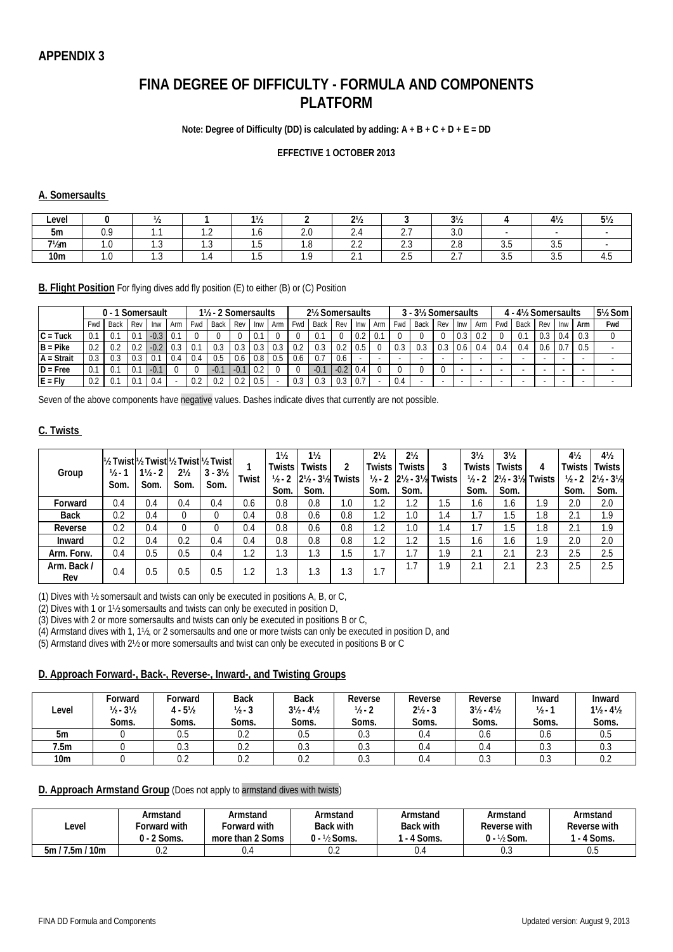# **FINA DEGREE OF DIFFICULTY - FORMULA AND COMPONENTS PLATFORM**

#### **Note: Degree of Difficulty (DD) is calculated by adding: A + B + C + D + E = DD**

#### **EFFECTIVE 1 OCTOBER 2013**

#### **A. Somersaults**

| Level            |                 |     |                                    | 11/2<br>17Z |     | $2\frac{1}{2}$       |                      | $3\frac{1}{2}$       |      | $4\frac{1}{2}$ | $5\frac{1}{2}$ |
|------------------|-----------------|-----|------------------------------------|-------------|-----|----------------------|----------------------|----------------------|------|----------------|----------------|
| 5m               | .               |     | $\sim$<br>$\overline{\phantom{a}}$ | $\cdot$     | ۰۰  |                      | $\sim$ $-$<br>L.     | $\sim$ $\sim$<br>J.V |      |                |                |
| $7\frac{1}{2}$ m | $\cdot$         | ن ا | ن. ا                               | ن. ا        | . . | $\sim$ $\sim$<br>ے ۔ | $\sim$ $\sim$<br>ن ـ | $\sim$ $\sim$<br>Z.U | ັບ.ບ | ن. ب           |                |
| 10 <sub>m</sub>  | $\cdot\, \cdot$ | ن ا | - 7                                | ט           |     | <u>L.</u>            | ں ، ے                | -<br>$\sim\cdot\,1$  | ັບ.ບ | ن. ب           | ຯ.ປ            |

**B. Flight Position** For flying dives add fly position (E) to either (B) or (C) Position

|              |      |        |     | Somersault |     |     | 1½ - 2 Somersaults |        |      |     |     | 2½ Somersaults |        |     |     |     | 3 - 3½ Somersaults |     |     |     |                          | 4 - 4½ Somersaults |     |     |     | 5 <sup>1</sup> / <sub>2</sub> Som |
|--------------|------|--------|-----|------------|-----|-----|--------------------|--------|------|-----|-----|----------------|--------|-----|-----|-----|--------------------|-----|-----|-----|--------------------------|--------------------|-----|-----|-----|-----------------------------------|
|              | '∽wd | Back   | Rev | Inw        | Arm | Fwd | <b>Back</b>        | Rev    | Inw  | Arm | Fwd | Back           | Rev    | Inw | Arm | Fwd | Back               | Rev | Inw | Arm | Fwd I                    | Back               | Rev | Inw | Arm | Fwd                               |
| $C = Tuck$   | 0.1  | U.     | 0.1 | $-0.3$     | 0.1 |     |                    |        | 0.   |     |     | U. I           |        | 0.2 | 0.  |     |                    |     | 0.3 |     |                          |                    |     | 0.4 | 0.3 |                                   |
| $B = Pike$   | 0.2  |        | 0.2 | $-0.2$     | 0.3 |     |                    | 0.3    |      |     |     | 0.3            | 0.2    | 0.5 |     |     | 0.3                |     | 0.6 | 0.4 | 0.4                      | 0.4                | 0.6 |     | 0.5 |                                   |
| $A = Strait$ | 0.3  |        | 0.3 | 0.         | 0.4 | 0.4 |                    | 0.6    | 0.81 | 0.5 | 0.6 | 0.7            | 0.6    |     |     |     |                    |     |     |     | $\overline{\phantom{a}}$ |                    |     |     |     |                                   |
| $D = Free$   | 0.1  | . v. . |     | $-0.7$     |     |     | $-0.$              | $-0.1$ |      |     |     | $-0.1$         | $-0.2$ | 0.4 |     |     |                    |     |     |     | $\overline{\phantom{a}}$ |                    |     |     |     |                                   |
| $E = Fly$    | 0.2  | v.     |     | 0.4        |     | 0.2 |                    | 0.2    | 0.5  |     | 0.3 |                | 0.3    | 0.7 |     | 0.4 |                    |     |     |     | $\overline{\phantom{a}}$ |                    |     |     |     |                                   |

Seven of the above components have negative values. Dashes indicate dives that currently are not possible.

#### **C. Twists**

| Group              | $\frac{1}{2}$ .<br>Som. | $1\frac{1}{2} - 2$<br>Som. | $2\frac{1}{2}$<br>Som. | 1½ Twistl½ Twistl½ Twistl½ Twistl<br>$3 - 3\frac{1}{2}$<br>Som. | Twist          | $1\frac{1}{2}$<br><b>Twists</b><br>$1/2 - 2$<br>Som. | $1\frac{1}{2}$<br>Twists<br>2 <sup>1</sup> / <sub>2</sub> - 3 <sup>1</sup> / <sub>2</sub> Twists<br>Som. |     | $2\frac{1}{2}$<br>Twists<br>$1/2 - 2$<br>Som. | $2\frac{1}{2}$<br>Twists<br>$2\frac{1}{2} - 3\frac{1}{2}$<br>Som. | 3<br>Twists | 3 <sub>2</sub><br><b>Twists</b><br>$1/2 - 2$<br>Som. | 3 <sub>2</sub><br>Twists<br>$2\frac{1}{2}$ - $3\frac{1}{2}$<br>Som. | 4<br><b>Twists</b> | $4\frac{1}{2}$<br>Twists<br>$1/2 - 2$<br>Som. | $4\frac{1}{2}$<br>Twists<br>$2\frac{1}{2}$ - $3\frac{1}{2}$<br>Som. |
|--------------------|-------------------------|----------------------------|------------------------|-----------------------------------------------------------------|----------------|------------------------------------------------------|----------------------------------------------------------------------------------------------------------|-----|-----------------------------------------------|-------------------------------------------------------------------|-------------|------------------------------------------------------|---------------------------------------------------------------------|--------------------|-----------------------------------------------|---------------------------------------------------------------------|
| Forward            | 0.4                     | 0.4                        | 0.4                    | 0.4                                                             | 0.6            | 0.8                                                  | 0.8                                                                                                      | 1.0 | 1.2                                           | ി<br>٠Z                                                           | ۱.5         | 1.6                                                  | ، ه                                                                 | 1.9                | 2.0                                           | 2.0                                                                 |
| <b>Back</b>        | 0.2                     | 0.4                        |                        |                                                                 | 0.4            | 0.8                                                  | 0.6                                                                                                      | 0.8 | 1.2                                           | $\Omega$                                                          | .4          | ۱.7                                                  | .5                                                                  | 0.1                | 2.1                                           | 1.9                                                                 |
| Reverse            | 0.2                     | 0.4                        |                        |                                                                 | 0.4            | 0.8                                                  | 0.6                                                                                                      | 0.8 | 1.2                                           | .0                                                                | .4          | 1.7                                                  | .5                                                                  | 1.8                | 2.1                                           | 1.9                                                                 |
| Inward             | 0.2                     | 0.4                        | 0.2                    | 0.4                                                             | 0.4            | 0.8                                                  | 0.8                                                                                                      | 0.8 | 1.2                                           | .2                                                                | 5.،         | . .6                                                 | l.6                                                                 | 1.9                | 2.0                                           | 2.0                                                                 |
| Arm. Forw.         | 0.4                     | $0.5\,$                    | 0.5                    | 0.4                                                             | .2             | 1.3                                                  | 1.3                                                                                                      | 1.5 | 1.7                                           | ┑<br>۱.,                                                          | 1.9         | $^{\circ}$ 1<br>z.i                                  | 2.1                                                                 | 2.3                | 2.5                                           | 2.5                                                                 |
| Arm. Back /<br>Rev | 0.4                     | $0.5\,$                    | 0.5                    | 0.5                                                             | $\overline{2}$ | l .3                                                 | 1.3                                                                                                      | 1.3 | ۱.7                                           |                                                                   | .9          | $^{\circ}$ 1                                         | 2.1                                                                 | 2.3                | 2.5                                           | 2.5                                                                 |

(1) Dives with ½ somersault and twists can only be executed in positions A, B, or C,

(2) Dives with 1 or 1½ somersaults and twists can only be executed in position D,

(3) Dives with 2 or more somersaults and twists can only be executed in positions B or C,

(4) Armstand dives with 1, 1½, or 2 somersaults and one or more twists can only be executed in position D, and

(5) Armstand dives with 2½ or more somersaults and twist can only be executed in positions B or C

#### **D. Approach Forward-, Back-, Reverse-, Inward-, and Twisting Groups**

| Level           | Forward<br>$1/2 - 31/2$<br>Soms. | Forward<br>$4 - 5\frac{1}{2}$<br>Soms. | <b>Back</b><br>$1/2 - 3$<br>Soms. | <b>Back</b><br>$3\frac{1}{2} - 4\frac{1}{2}$<br>Soms. | Reverse<br>$1/2 - 2$<br>Soms. | Reverse<br>$2\frac{1}{2}$ - 3<br>Soms. | Reverse<br>$3\frac{1}{2} - 4\frac{1}{2}$<br>Soms. | Inward<br>$1/2 - 1$<br>Soms. | Inward<br>$1\frac{1}{2} - 4\frac{1}{2}$<br>Soms. |
|-----------------|----------------------------------|----------------------------------------|-----------------------------------|-------------------------------------------------------|-------------------------------|----------------------------------------|---------------------------------------------------|------------------------------|--------------------------------------------------|
| 5m              |                                  | 0.5                                    | ∩ ∩<br>U.Z                        | 0.5                                                   |                               | 0.4                                    | 0.6                                               | 0.6                          |                                                  |
|                 |                                  |                                        |                                   |                                                       | U.S                           |                                        |                                                   |                              | U.O                                              |
| 7.5m            |                                  | 0.3                                    | ∩ ∩<br>U.Z                        | 0.3                                                   | U.J                           | 0.4                                    | U.4                                               | U.J                          | U.J                                              |
| 10 <sub>m</sub> |                                  | 0.2                                    | U.Z                               | $\sim$ $\sim$<br>U.Z                                  | U.J                           | U.ª                                    | U.J                                               | U.J                          |                                                  |

#### **D. Approach Armstand Group** (Does not apply to armstand dives with twists)

| Level                                                     | Armstand      | Armstand         | Armstand         | Armstand         | Armstand               | Armstand     |
|-----------------------------------------------------------|---------------|------------------|------------------|------------------|------------------------|--------------|
|                                                           | orward with   | Forward with     | <b>Back with</b> | <b>Back with</b> | Reverse with           | Reverse with |
|                                                           | $0 - 2$ Soms. | more than 2 Soms | ) - ½ Soms.      | - 4 Soms.        | $0 - \frac{1}{2}$ Som. | 4 Soms.      |
| '7.5m <sub>L</sub><br>$^{\prime}$ 10m $^{\prime}$<br>5m / | $\sim$<br>U.L | U. <sup>4</sup>  | U.Z              | U.4              | U.J                    | v.J          |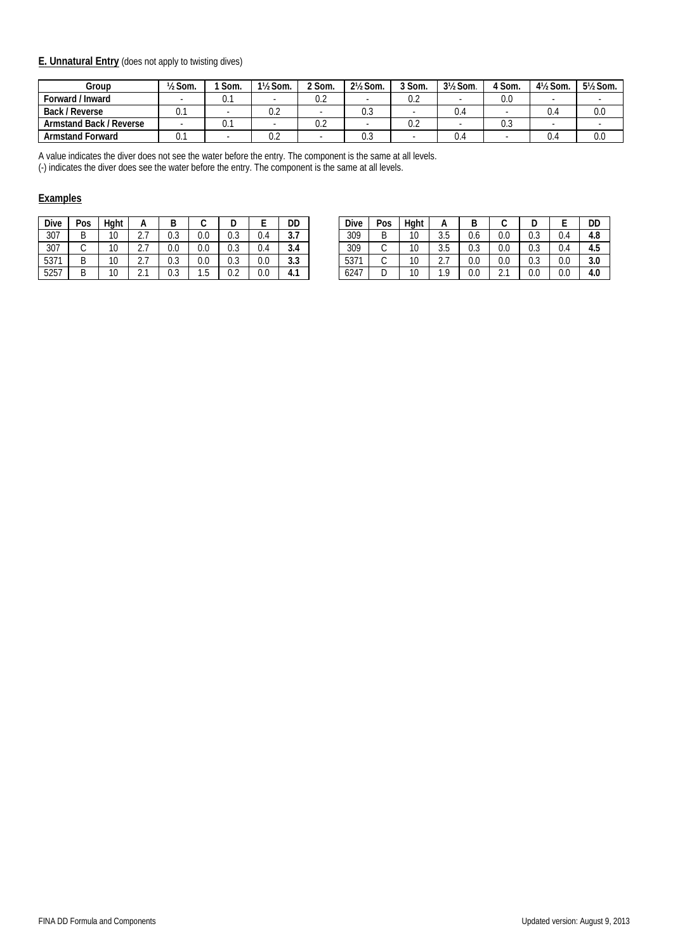#### **E. Unnatural Entry** (does not apply to twisting dives)

| Group                   | $\frac{1}{2}$ Som. | Som. | 1½ Som. | <sup>ን</sup> Som. | 2 <sup>1</sup> / <sub>2</sub> Som. | 3 Som. | 3½ Som. | 4 Som. | 4½ Som. | 5½ Som. |
|-------------------------|--------------------|------|---------|-------------------|------------------------------------|--------|---------|--------|---------|---------|
| Forward / Inward        |                    | υ.   |         | 0.2               |                                    | 0.2    |         | 0.0    |         |         |
| Back / Reverse          | v. i               |      | U.Z     |                   | U.J                                |        | 4.ل     |        | ∪.∸     | 0.0     |
| Armstand Back / Reverse |                    | U.   |         | 0.2               |                                    | 0.2    |         | U.J    |         |         |
| <b>Armstand Forward</b> | U.I                |      | U.Z     |                   | U.J                                |        | 4.ل     |        | ∪.∸     | 0.0     |

A value indicates the diver does not see the water before the entry. The component is the same at all levels.

(-) indicates the diver does see the water before the entry. The component is the same at all levels.

#### **Examples**

| <b>Dive</b> | Pos | Hght |   | в   |     |     |         | DD  |
|-------------|-----|------|---|-----|-----|-----|---------|-----|
| 307         |     | 10   | റ | 0.3 | 0.0 | 0.3 | 0.4     | 3.7 |
| 307         |     | 10   | ົ | 0.0 | 0.0 | 0.3 | 0.4     | 3.4 |
| 5371        | В   | 10   |   | 0.3 | 0.0 | 0.3 | $0.0\,$ | 3.3 |
| 5257        |     |      |   | 0.3 | 1.5 |     | 0.0     | 4.1 |

| <b>Dive</b> | Pos    | Haht |                        |               |                      |                      |                      | DD                   | Dive | Pos | Haht         |                        |               | ີ                         | ◡                    |     | DD         |
|-------------|--------|------|------------------------|---------------|----------------------|----------------------|----------------------|----------------------|------|-----|--------------|------------------------|---------------|---------------------------|----------------------|-----|------------|
| 307         | n      | 10   | <u>.</u>               | $\sim$<br>v.J | $\sim$<br>v.v        | $\sim$ $\sim$<br>v.J | ⌒<br>U.4             | $\sim$ $\sim$<br>J.I | 309  |     | 10<br>טו     | $\sim$<br>J.J          | v.o           | 0.0                       | $\sim$ $\sim$<br>v.J | υ.• | 4.8        |
| 307         |        | 10   | $\sim$ $\sim$<br>، ، ، | $\cap$<br>V.V | $\sim$ $\sim$<br>v.v | $\sim$ $\sim$<br>v.J | $\sim$<br>U.4        | $\sim$<br>-3.4       | 309  |     | $\sim$<br>טו | $\sim$<br>J.J          | $\sim$<br>v.J | 0.0                       | $\sim$ $\sim$<br>v.J | 0.4 | 4.5        |
| 5371        | D<br>◡ | 10   | <u>.</u>               | $\sim$<br>v.J | $\sim$ $\sim$<br>v.v | $\sim$ $\sim$<br>v.J | $\cap$<br>v.v        | $\Omega$<br>.აა      | 5371 |     | 10<br>ιv     | $\sim$<br>$\sim \cdot$ | 0.0           | 0.0                       | $\sim$<br>v.J        | 0.0 | າ ດ<br>J.U |
| 5257        | n<br>┕ | 10   | $\sim$<br>ا مک         | v.J           | ن. ا                 | $\sim$ $\sim$<br>v.z | $\sim$ $\sim$<br>v.u | -4<br>4. 1           | 6247 |     | $\sim$       | 1 C                    | 0.0           | $\sim$ $\sim$<br><u>.</u> | 0.0                  | 0.0 | 4.0        |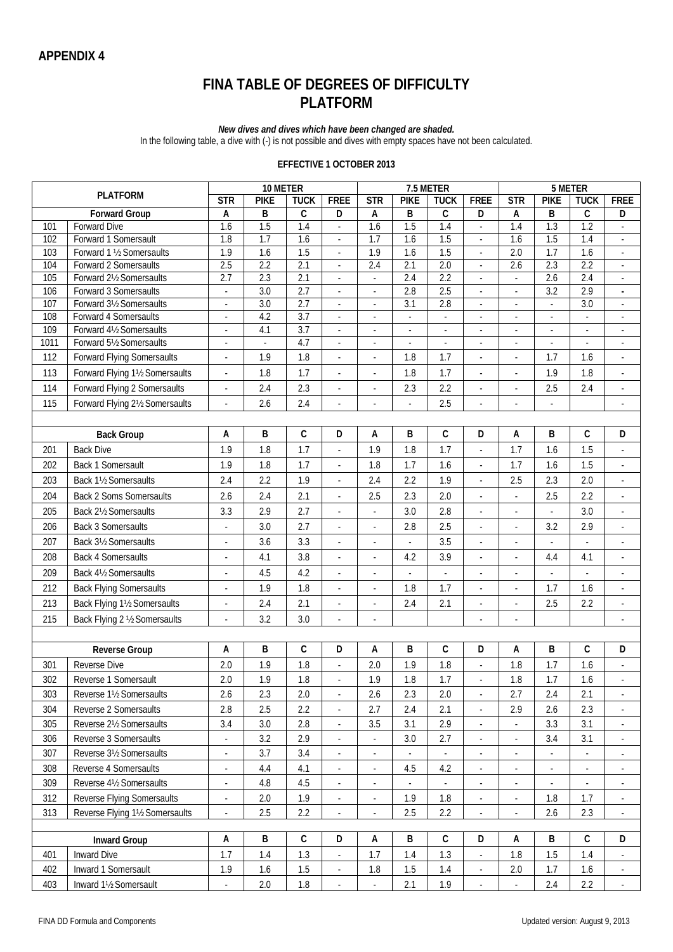# **FINA TABLE OF DEGREES OF DIFFICULTY PLATFORM**

*New dives and dives which have been changed are shaded.*

In the following table, a dive with (-) is not possible and dives with empty spaces have not been calculated.

#### **EFFECTIVE 1 OCTOBER 2013**

|            |                                                   |                          | 10 METER         |                  |                          | 7.5 METER                            |                          |                          |                          |                           | 5 METER                  |                                      |                                    |  |
|------------|---------------------------------------------------|--------------------------|------------------|------------------|--------------------------|--------------------------------------|--------------------------|--------------------------|--------------------------|---------------------------|--------------------------|--------------------------------------|------------------------------------|--|
|            | <b>PLATFORM</b>                                   | $\overline{\text{STR}}$  | <b>PIKE</b>      | <b>TUCK</b>      | <b>FREE</b>              | $\overline{\text{STR}}$              | <b>PIKE</b>              | <b>TUCK</b>              | <b>FREE</b>              | STR                       | <b>PIKE</b>              | <b>TUCK</b>                          | <b>FREE</b>                        |  |
|            | <b>Forward Group</b>                              | А                        | B                | $\mathsf C$      | D                        | А                                    | B                        | $\mathsf C$              | D                        | $\boldsymbol{\mathsf{A}}$ | B                        | $\mathsf C$                          | D                                  |  |
| 101        | Forward Dive                                      | $\overline{1.6}$         | 1.5              | 1.4              | ÷,                       | $\overline{1.6}$                     | 1.5                      | $\overline{1.4}$         | ä,                       | 1.4                       | 1.3                      | 1.2                                  |                                    |  |
| 102<br>103 | Forward 1 Somersault<br>Forward 1 1/2 Somersaults | 1.8<br>1.9               | 1.7<br>1.6       | 1.6<br>1.5       | ÷,<br>÷,                 | $\overline{1.7}$<br>$\overline{1.9}$ | $\overline{1.6}$<br>1.6  | 1.5<br>1.5               | $\sim$<br>÷,             | $\overline{1.6}$<br>2.0   | 1.5<br>1.7               | $\overline{1.4}$<br>$\overline{1.6}$ | $\overline{\phantom{a}}$<br>$\Box$ |  |
| 104        | Forward 2 Somersaults                             | 2.5                      | 2.2              | 2.1              | L,                       | 2.4                                  | 2.1                      | $\overline{2.0}$         | ÷.                       | $\overline{2.6}$          | 2.3                      | 2.2                                  | $\mathcal{L}$                      |  |
| 105        | Forward 21/2 Somersaults                          | 2.7                      | 2.3              | $\overline{2.1}$ | ÷,                       | ÷,                                   | 2.4                      | 2.2                      | ÷.                       | $\overline{\phantom{a}}$  | $\overline{2.6}$         | 2.4                                  | ÷,                                 |  |
| 106        | Forward 3 Somersaults                             | L.                       | $\overline{3.0}$ | 2.7              | ÷,                       | ÷,                                   | 2.8                      | 2.5                      | $\sim$                   | ÷,                        | $\overline{3.2}$         | 2.9                                  | $\blacksquare$                     |  |
| 107        | Forward 31/2 Somersaults                          | ÷,                       | $\overline{3.0}$ | 2.7              | ÷,                       | ÷,                                   | $\overline{3.1}$         | 2.8                      | $\sim$                   | ÷,                        | ÷,                       | $\overline{3.0}$                     | $\overline{\phantom{a}}$           |  |
| 108        | Forward 4 Somersaults                             | $\blacksquare$           | 4.2              | $\overline{3.7}$ | $\overline{\phantom{a}}$ | $\overline{\phantom{a}}$             | $\overline{\phantom{a}}$ | $\overline{\phantom{a}}$ | $\overline{\phantom{a}}$ | $\overline{\phantom{a}}$  | $\overline{\phantom{a}}$ | $\overline{\phantom{a}}$             | $\overline{\phantom{a}}$           |  |
| 109        | Forward 41/2 Somersaults                          |                          | 4.1              | 3.7              |                          | ÷,                                   | $\blacksquare$           |                          |                          | ÷,                        |                          | $\overline{\phantom{a}}$             | ÷,                                 |  |
| 1011       | Forward 51/2 Somersaults                          | ä,                       | $\blacksquare$   | 4.7              | ÷,                       | ÷                                    | $\overline{\phantom{a}}$ | ÷,                       | $\overline{\phantom{a}}$ | ÷,                        |                          | $\overline{\phantom{a}}$             | $\overline{\phantom{a}}$           |  |
| 112        | <b>Forward Flying Somersaults</b>                 | $\overline{\phantom{a}}$ | 1.9              | 1.8              | $\overline{\phantom{a}}$ | $\overline{\phantom{a}}$             | 1.8                      | 1.7                      | $\overline{\phantom{a}}$ | $\overline{\phantom{a}}$  | 1.7                      | 1.6                                  | $\overline{\phantom{a}}$           |  |
| 113        | Forward Flying 11/2 Somersaults                   | ä,                       | 1.8              | 1.7              | ÷,                       | $\overline{\phantom{a}}$             | 1.8                      | 1.7                      | $\overline{\phantom{a}}$ | ä,                        | 1.9                      | 1.8                                  | $\overline{\phantom{a}}$           |  |
| 114        | Forward Flying 2 Somersaults                      | $\overline{\phantom{a}}$ | 2.4              | 2.3              | $\blacksquare$           | ÷                                    | 2.3                      | 2.2                      | $\Box$                   | $\Box$                    | 2.5                      | 2.4                                  | $\blacksquare$                     |  |
| 115        | Forward Flying 21/2 Somersaults                   |                          | 2.6              | 2.4              |                          | ÷,                                   | ÷,                       | 2.5                      |                          | Ĭ.                        |                          |                                      |                                    |  |
|            |                                                   |                          |                  |                  |                          |                                      |                          |                          |                          |                           |                          |                                      |                                    |  |
|            | <b>Back Group</b>                                 | А                        | B                | $\mathsf C$      | D                        | А                                    | $\sf B$                  | $\mathsf C$              | D                        | A                         | B                        | $\mathsf C$                          | D                                  |  |
| 201        | <b>Back Dive</b>                                  | 1.9                      | 1.8              | 1.7              | ÷,                       | 1.9                                  | 1.8                      | 1.7                      | ä,                       | 1.7                       | 1.6                      | 1.5                                  | ÷,                                 |  |
| 202        | Back 1 Somersault                                 | 1.9                      | 1.8              | 1.7              | L.                       | 1.8                                  | 1.7                      | 1.6                      | L.                       | 1.7                       | 1.6                      | 1.5                                  | L.                                 |  |
| 203        | Back 11/2 Somersaults                             | 2.4                      | 2.2              | 1.9              | ÷,                       | 2.4                                  | 2.2                      | 1.9                      | $\sim$                   | 2.5                       | 2.3                      | 2.0                                  | ÷,                                 |  |
| 204        | <b>Back 2 Soms Somersaults</b>                    | 2.6                      | 2.4              | 2.1              | ä,                       | 2.5                                  | 2.3                      | 2.0                      | ä,                       | $\overline{\phantom{a}}$  | 2.5                      | 2.2                                  | ÷,                                 |  |
| 205        | Back 21/2 Somersaults                             | 3.3                      | 2.9              | 2.7              | ÷,                       | ä,                                   | 3.0                      | 2.8                      | ä,                       | L.                        |                          | 3.0                                  | L.                                 |  |
| 206        | <b>Back 3 Somersaults</b>                         |                          | 3.0              | 2.7              | ÷,                       | ÷,                                   | 2.8                      | 2.5                      | ÷,                       | ÷                         | 3.2                      | 2.9                                  | $\blacksquare$                     |  |
| 207        | Back 31/2 Somersaults                             | ä,                       | 3.6              | 3.3              | ÷,                       | ÷                                    | $\overline{\phantom{a}}$ | 3.5                      | $\overline{\phantom{a}}$ | $\overline{\phantom{a}}$  | ×.                       | $\overline{\phantom{a}}$             | $\overline{\phantom{a}}$           |  |
| 208        | <b>Back 4 Somersaults</b>                         | ä,                       | 4.1              | 3.8              | ÷,                       | $\overline{\phantom{a}}$             | 4.2                      | 3.9                      | ÷,                       | ÷,                        | 4.4                      | 4.1                                  | $\blacksquare$                     |  |
| 209        | Back 41/2 Somersaults                             |                          | 4.5              | 4.2              | ä,                       | ÷,                                   | $\overline{\phantom{a}}$ |                          | ÷.                       | ÷,                        |                          | ÷,                                   | ÷,                                 |  |
| 212        | <b>Back Flying Somersaults</b>                    | $\overline{\phantom{m}}$ | 1.9              | 1.8              | $\overline{\phantom{a}}$ | $\overline{\phantom{a}}$             | 1.8                      | 1.7                      | $\overline{\phantom{a}}$ | $\overline{\phantom{a}}$  | 1.7                      | 1.6                                  | $\overline{\phantom{a}}$           |  |
| 213        | Back Flying 11/2 Somersaults                      | ä,                       | 2.4              | 2.1              | ÷,                       | $\overline{\phantom{a}}$             | 2.4                      | 2.1                      | $\overline{\phantom{a}}$ | ÷,                        | 2.5                      | 2.2                                  | ÷,                                 |  |
| 215        | Back Flying 2 1/2 Somersaults                     | ä,                       | 3.2              | 3.0              | $\overline{\phantom{a}}$ | $\overline{\phantom{a}}$             |                          |                          |                          | ÷,                        |                          |                                      |                                    |  |
|            |                                                   |                          |                  |                  |                          |                                      |                          |                          |                          |                           |                          |                                      |                                    |  |
|            | <b>Reverse Group</b>                              | A                        | B                | $\mathsf C$      | D                        | А                                    | B                        | C                        | D                        | A                         | B                        | $\mathsf C$                          | D                                  |  |
| 301        | Reverse Dive                                      | 2.0                      | 1.9              | 1.8              | ä,                       | 2.0                                  | 1.9                      | 1.8                      | ÷.                       | 1.8                       | 1.7                      | 1.6                                  | ÷,                                 |  |
| 302        | Reverse 1 Somersault                              | 2.0                      | 1.9              | 1.8              |                          | 1.9                                  | 1.8                      | 1.7                      |                          | 1.8                       | 1.7                      | 1.6                                  |                                    |  |
| 303        | Reverse 11/2 Somersaults                          | 2.6                      | 2.3              | 2.0              | $\overline{\phantom{a}}$ | 2.6                                  | 2.3                      | 2.0                      | $\sim$                   | 2.7                       | 2.4                      | 2.1                                  | $\overline{\phantom{a}}$           |  |
| 304        | Reverse 2 Somersaults                             | 2.8                      | 2.5              | 2.2              |                          | 2.7                                  | 2.4                      | 2.1                      |                          | 2.9                       | 2.6                      | 2.3                                  | ÷,                                 |  |
| 305        | Reverse 21/2 Somersaults                          | 3.4                      | 3.0              | 2.8              | $\overline{\phantom{a}}$ | 3.5                                  | 3.1                      | 2.9                      | $\overline{\phantom{a}}$ | $\overline{\phantom{a}}$  | 3.3                      | 3.1                                  | $\overline{\phantom{a}}$           |  |
| 306        | Reverse 3 Somersaults                             | $\overline{\phantom{a}}$ | 3.2              | 2.9              | $\blacksquare$           | ÷.                                   | 3.0                      | 2.7                      | $\overline{\phantom{a}}$ | $\blacksquare$            | 3.4                      | 3.1                                  | $\overline{\phantom{a}}$           |  |
| 307        | Reverse 31/2 Somersaults                          |                          | 3.7              | 3.4              |                          | ÷,                                   |                          |                          | $\overline{\phantom{a}}$ | ÷,                        |                          | $\blacksquare$                       |                                    |  |
| 308        | Reverse 4 Somersaults                             | $\overline{\phantom{a}}$ | 4.4              | 4.1              | $\overline{\phantom{a}}$ | $\blacksquare$                       | 4.5                      | 4.2                      | $\sim$                   | $\overline{\phantom{a}}$  | ٠                        | $\overline{\phantom{a}}$             | $\overline{\phantom{a}}$           |  |
| 309        | Reverse 41/2 Somersaults                          | ÷,                       | 4.8              | 4.5              | $\overline{a}$           | ٠                                    |                          | ÷,                       | $\overline{\phantom{a}}$ | $\overline{\phantom{a}}$  |                          | ÷,                                   | ٠                                  |  |
| 312        | Reverse Flying Somersaults                        |                          | 2.0              | 1.9              | $\overline{\phantom{a}}$ | $\overline{\phantom{a}}$             | 1.9                      | 1.8                      |                          | $\overline{\phantom{a}}$  | 1.8                      | 1.7                                  | $\overline{\phantom{a}}$           |  |
| 313        | Reverse Flying 11/2 Somersaults                   | $\overline{\phantom{a}}$ | 2.5              | 2.2              | $\overline{\phantom{a}}$ | $\overline{\phantom{a}}$             | 2.5                      | 2.2                      | $\overline{\phantom{a}}$ | $\overline{\phantom{a}}$  | 2.6                      | 2.3                                  | $\blacksquare$                     |  |
|            |                                                   |                          |                  |                  |                          |                                      |                          |                          |                          |                           |                          |                                      |                                    |  |
|            | <b>Inward Group</b>                               |                          | В                | $\mathsf C$      | D                        | А                                    | В                        | С                        | D                        | Α                         | В                        | C                                    | D                                  |  |
| 401        | <b>Inward Dive</b>                                | 1.7                      | 1.4              | 1.3              | ä,                       | 1.7                                  | 1.4                      | 1.3                      | $\overline{\phantom{a}}$ | 1.8                       | 1.5                      | 1.4                                  | $\overline{\phantom{a}}$           |  |
| 402        | Inward 1 Somersault                               | 1.9                      | 1.6              | 1.5              | $\blacksquare$           | 1.8                                  | 1.5                      | 1.4                      | $\overline{\phantom{a}}$ | 2.0                       | 1.7                      | 1.6                                  | $\overline{\phantom{a}}$           |  |
| 403        | Inward 11/2 Somersault                            |                          | $2.0\,$          | 1.8              | $\overline{\phantom{a}}$ | $\blacksquare$                       | 2.1                      | 1.9                      |                          |                           | 2.4                      | 2.2                                  | $\overline{\phantom{a}}$           |  |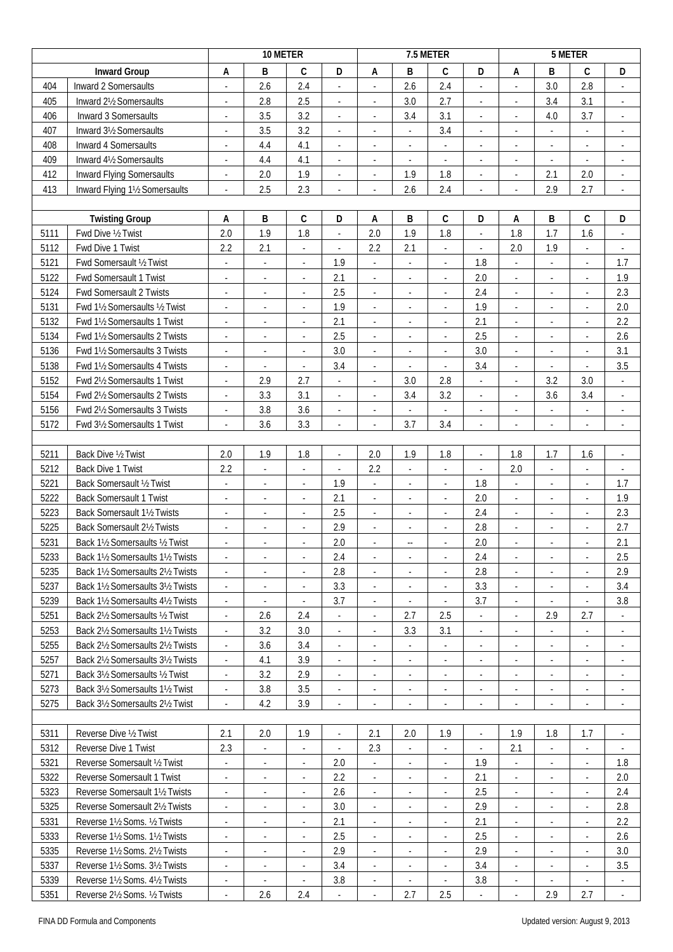|      |                                   |                          | 10 METER                 |                          |                          |                          |                          | 7.5 METER                |                             |                          |                          | 5 METER                  |                          |
|------|-----------------------------------|--------------------------|--------------------------|--------------------------|--------------------------|--------------------------|--------------------------|--------------------------|-----------------------------|--------------------------|--------------------------|--------------------------|--------------------------|
|      | <b>Inward Group</b>               | А                        | B                        | $\mathsf{C}$             | D                        | Α                        | B                        | C                        | D                           | A                        | B                        | $\mathsf C$              | D                        |
| 404  | Inward 2 Somersaults              | $\overline{\phantom{a}}$ | 2.6                      | 2.4                      | ÷,                       | $\overline{\phantom{a}}$ | 2.6                      | 2.4                      | $\sim$                      | $\overline{\phantom{a}}$ | 3.0                      | 2.8                      | $\overline{\phantom{a}}$ |
| 405  | Inward 21/2 Somersaults           | $\overline{a}$           | 2.8                      | 2.5                      | ä,                       | $\overline{\phantom{a}}$ | 3.0                      | 2.7                      | $\overline{\phantom{a}}$    | ÷,                       | 3.4                      | 3.1                      | $\overline{\phantom{a}}$ |
| 406  | Inward 3 Somersaults              | $\overline{\phantom{a}}$ | 3.5                      | 3.2                      | $\overline{\phantom{a}}$ | $\overline{\phantom{a}}$ | 3.4                      | 3.1                      | $\overline{\phantom{a}}$    | ÷,                       | $4.0\,$                  | 3.7                      | ÷                        |
| 407  | Inward 31/2 Somersaults           | $\overline{\phantom{a}}$ | 3.5                      | 3.2                      | $\overline{\phantom{a}}$ | $\overline{\phantom{a}}$ | $\overline{\phantom{a}}$ | 3.4                      | $\overline{\phantom{a}}$    | $\overline{\phantom{a}}$ | $\overline{\phantom{a}}$ | $\overline{\phantom{a}}$ | $\overline{\phantom{a}}$ |
| 408  | Inward 4 Somersaults              | $\overline{\phantom{a}}$ | 4.4                      | 4.1                      | ÷,                       | ÷,                       | ÷,                       | ÷,                       | $\sim$                      | ÷,                       | ÷,                       | $\overline{\phantom{a}}$ | ÷,                       |
| 409  | Inward 41/2 Somersaults           | $\overline{\phantom{a}}$ | 4.4                      | 4.1                      | ä,                       | ÷                        | $\Box$                   | ÷,                       | $\sim$                      | $\Box$                   | ÷                        | $\blacksquare$           | $\overline{\phantom{a}}$ |
| 412  | Inward Flying Somersaults         | $\overline{\phantom{a}}$ | 2.0                      | 1.9                      | $\overline{\phantom{a}}$ | $\overline{\phantom{a}}$ | 1.9                      | 1.8                      | $\overline{\phantom{a}}$    | $\sim$                   | 2.1                      | 2.0                      | $\overline{\phantom{a}}$ |
| 413  | Inward Flying 11/2 Somersaults    |                          | 2.5                      | 2.3                      |                          |                          | 2.6                      | 2.4                      |                             | ÷,                       | 2.9                      | 2.7                      | $\overline{\phantom{a}}$ |
|      |                                   |                          |                          |                          |                          |                          |                          |                          |                             |                          |                          |                          |                          |
|      | <b>Twisting Group</b>             | Α                        | B                        | C                        | D                        | А                        | B                        | $\mathsf C$              | D                           | Α                        | B                        | $\mathsf C$              | D                        |
| 5111 | Fwd Dive 1/2 Twist                | 2.0                      | 1.9                      | 1.8                      | ä,                       | 2.0                      | 1.9                      | 1.8                      | ä,                          | 1.8                      | 1.7                      | 1.6                      | $\overline{\phantom{a}}$ |
| 5112 | Fwd Dive 1 Twist                  | 2.2                      | 2.1                      | ä,                       | $\blacksquare$           | 2.2                      | 2.1                      | $\overline{\phantom{a}}$ | ä,                          | 2.0                      | 1.9                      | $\omega$                 | $\overline{\phantom{a}}$ |
| 5121 | Fwd Somersault 1/2 Twist          | $\overline{\phantom{a}}$ | $\overline{\phantom{a}}$ | $\overline{\phantom{a}}$ | 1.9                      | $\overline{\phantom{a}}$ | $\overline{\phantom{a}}$ | $\overline{\phantom{a}}$ | 1.8                         | $\overline{\phantom{a}}$ | $\overline{\phantom{a}}$ | $\overline{\phantom{a}}$ | 1.7                      |
| 5122 | Fwd Somersault 1 Twist            | $\overline{\phantom{a}}$ | $\overline{\phantom{a}}$ | ÷,                       | 2.1                      | ÷                        | $\blacksquare$           | ł,                       | 2.0                         | ÷,                       | $\overline{\phantom{a}}$ | $\overline{\phantom{a}}$ | 1.9                      |
| 5124 | Fwd Somersault 2 Twists           | $\overline{\phantom{a}}$ |                          | $\overline{\phantom{a}}$ | 2.5                      | $\overline{\phantom{a}}$ | $\overline{\phantom{a}}$ | ÷,                       | 2.4                         | ÷                        | $\overline{\phantom{a}}$ | $\overline{\phantom{a}}$ | 2.3                      |
| 5131 | Fwd 11/2 Somersaults 1/2 Twist    | $\overline{\phantom{a}}$ | $\overline{\phantom{a}}$ | $\overline{\phantom{a}}$ | 1.9                      | $\overline{\phantom{a}}$ | $\overline{\phantom{a}}$ | $\overline{\phantom{a}}$ | 1.9                         | $\overline{\phantom{a}}$ | $\overline{\phantom{a}}$ | $\overline{\phantom{a}}$ | 2.0                      |
| 5132 | Fwd 11/2 Somersaults 1 Twist      | $\overline{\phantom{a}}$ | $\overline{\phantom{a}}$ | $\overline{\phantom{a}}$ | 2.1                      | $\blacksquare$           | $\blacksquare$           | ÷,                       | 2.1                         | $\overline{\phantom{a}}$ | $\overline{\phantom{a}}$ | ÷,                       | 2.2                      |
| 5134 | Fwd 11/2 Somersaults 2 Twists     | $\overline{\phantom{a}}$ | $\overline{\phantom{a}}$ | $\blacksquare$           | 2.5                      | ÷,                       | $\overline{\phantom{a}}$ | $\blacksquare$           | 2.5                         | $\Box$                   | $\overline{\phantom{a}}$ | $\overline{\phantom{a}}$ | 2.6                      |
| 5136 | Fwd 11/2 Somersaults 3 Twists     | $\overline{\phantom{a}}$ | $\overline{\phantom{a}}$ | $\overline{\phantom{a}}$ | 3.0                      | $\overline{\phantom{a}}$ | $\blacksquare$           | $\overline{\phantom{a}}$ | 3.0                         | $\overline{\phantom{a}}$ | $\overline{\phantom{a}}$ | $\overline{\phantom{a}}$ | 3.1                      |
| 5138 | Fwd 11/2 Somersaults 4 Twists     | $\overline{\phantom{a}}$ |                          | ÷.                       | 3.4                      | ÷,                       | ÷,                       | ÷.                       | 3.4                         | ÷,                       |                          | ä,                       | 3.5                      |
| 5152 | Fwd 21/2 Somersaults 1 Twist      | $\blacksquare$           | 2.9                      | 2.7                      | $\blacksquare$           | ÷                        | 3.0                      | 2.8                      | $\overline{\phantom{a}}$    | $\blacksquare$           | 3.2                      | 3.0                      | $\overline{\phantom{a}}$ |
| 5154 | Fwd 21/2 Somersaults 2 Twists     | $\overline{\phantom{a}}$ | 3.3                      | 3.1                      | $\overline{\phantom{a}}$ | $\overline{\phantom{a}}$ | 3.4                      | 3.2                      | $\overline{\phantom{a}}$    | $\overline{\phantom{a}}$ | 3.6                      | 3.4                      | $\overline{\phantom{a}}$ |
| 5156 | Fwd 21/2 Somersaults 3 Twists     | $\overline{\phantom{a}}$ | 3.8                      | 3.6                      | $\overline{\phantom{a}}$ | ÷                        | $\blacksquare$           |                          | $\overline{\phantom{a}}$    | ÷,                       |                          | $\overline{\phantom{a}}$ | $\overline{\phantom{a}}$ |
| 5172 | Fwd 31/2 Somersaults 1 Twist      |                          | 3.6                      | 3.3                      | $\overline{\phantom{a}}$ | $\overline{\phantom{a}}$ | 3.7                      | 3.4                      | ÷,                          | ÷,                       | $\overline{\phantom{a}}$ | $\overline{\phantom{a}}$ | ÷                        |
|      |                                   |                          |                          |                          |                          |                          |                          |                          |                             |                          |                          |                          |                          |
| 5211 | Back Dive 1/2 Twist               | 2.0                      | 1.9                      | 1.8                      | L.                       | 2.0                      | 1.9                      | 1.8                      | ÷.                          | 1.8                      | 1.7                      | 1.6                      | ÷,                       |
| 5212 | Back Dive 1 Twist                 | 2.2                      | $\blacksquare$           | $\blacksquare$           | ÷,                       | 2.2                      | $\Box$                   | ÷,                       | $\overline{\phantom{a}}$    | 2.0                      | ÷                        | $\overline{\phantom{a}}$ | ÷                        |
| 5221 | Back Somersault 1/2 Twist         | $\overline{\phantom{a}}$ | $\overline{\phantom{a}}$ | $\overline{\phantom{a}}$ | 1.9                      | $\overline{\phantom{a}}$ | $\overline{\phantom{a}}$ | $\overline{\phantom{a}}$ | 1.8                         | $\Box$                   | $\overline{\phantom{a}}$ | $\overline{\phantom{a}}$ | 1.7                      |
| 5222 | <b>Back Somersault 1 Twist</b>    | $\overline{\phantom{a}}$ | ÷,                       | $\overline{\phantom{a}}$ | 2.1                      | $\blacksquare$           | $\blacksquare$           | ÷,                       | 2.0                         | $\overline{\phantom{a}}$ | ÷                        | ÷,                       | 1.9                      |
| 5223 | Back Somersault 11/2 Twists       | $\overline{\phantom{a}}$ | $\overline{\phantom{a}}$ | ÷,                       | 2.5                      | $\blacksquare$           | $\blacksquare$           | $\blacksquare$           | 2.4                         | $\Box$                   | $\overline{\phantom{a}}$ | $\overline{\phantom{a}}$ | 2.3                      |
| 5225 | Back Somersault 21/2 Twists       | $\overline{\phantom{a}}$ | $\overline{\phantom{a}}$ | $\sim$                   | 2.9                      | $\overline{\phantom{a}}$ | $\blacksquare$           | ×.                       | 2.8                         | $\sim$                   | ٠                        | $\overline{\phantom{a}}$ | 2.7                      |
| 5231 | Back 11/2 Somersaults 1/2 Twist   | $\overline{\phantom{a}}$ | $\overline{\phantom{a}}$ | ä,                       | 2.0                      | ÷,                       | --                       | ÷,                       | 2.0                         | i,                       | ÷,                       | ÷,                       | 2.1                      |
| 5233 | Back 1½ Somersaults 1½ Twists     | ٠                        | $\overline{\phantom{a}}$ | $\overline{\phantom{a}}$ | 2.4                      | ٠                        | $\overline{\phantom{a}}$ | $\overline{\phantom{a}}$ | 2.4                         | $\overline{\phantom{a}}$ | $\overline{\phantom{a}}$ | $\overline{\phantom{a}}$ | 2.5                      |
| 5235 | Back 11/2 Somersaults 21/2 Twists | $\overline{\phantom{a}}$ | $\overline{\phantom{a}}$ | $\overline{\phantom{a}}$ | 2.8                      | $\overline{\phantom{a}}$ | $\overline{\phantom{a}}$ | ٠                        | 2.8                         | $\overline{\phantom{a}}$ | $\overline{\phantom{a}}$ | $\overline{\phantom{a}}$ | 2.9                      |
| 5237 | Back 1½ Somersaults 3½ Twists     | $\overline{\phantom{a}}$ | $\overline{\phantom{a}}$ | $\blacksquare$           | 3.3                      | $\blacksquare$           | $\overline{\phantom{a}}$ | ÷,                       | 3.3                         | $\blacksquare$           | ÷                        | ÷                        | 3.4                      |
| 5239 | Back 11/2 Somersaults 41/2 Twists | $\blacksquare$           |                          | ÷.                       | 3.7                      | ÷,                       | $\overline{\phantom{a}}$ |                          | 3.7                         | $\overline{\phantom{a}}$ |                          | $\overline{\phantom{a}}$ | 3.8                      |
| 5251 | Back 2½ Somersaults ½ Twist       | $\overline{\phantom{a}}$ | 2.6                      | 2.4                      | $\overline{\phantom{a}}$ | $\blacksquare$           | 2.7                      | 2.5                      | $\mathcal{L}_{\mathcal{A}}$ | $\overline{\phantom{a}}$ | 2.9                      | 2.7                      | $\overline{\phantom{a}}$ |
| 5253 | Back 21/2 Somersaults 11/2 Twists |                          | 3.2                      | $3.0\,$                  | ä,                       | $\overline{\phantom{a}}$ | 3.3                      | 3.1                      | $\sim$                      | $\overline{\phantom{a}}$ |                          | ÷                        | $\overline{\phantom{a}}$ |
| 5255 | Back 21/2 Somersaults 21/2 Twists | $\sim$                   | 3.6                      | 3.4                      | $\overline{\phantom{a}}$ | ٠                        | $\overline{\phantom{a}}$ | $\blacksquare$           | $\blacksquare$              | $\overline{\phantom{a}}$ | ۰                        | ٠                        | ٠                        |
| 5257 | Back 21/2 Somersaults 31/2 Twists | ÷                        | 4.1                      | 3.9                      | $\overline{\phantom{a}}$ | $\overline{\phantom{a}}$ | $\overline{\phantom{a}}$ | $\overline{\phantom{a}}$ | $\overline{\phantom{a}}$    | $\overline{\phantom{a}}$ | ٠                        | $\overline{\phantom{a}}$ | $\overline{\phantom{a}}$ |
| 5271 | Back 31/2 Somersaults 1/2 Twist   | $\blacksquare$           | 3.2                      | 2.9                      | ä,                       | $\overline{\phantom{a}}$ | $\blacksquare$           | $\overline{\phantom{a}}$ | $\overline{\phantom{a}}$    | $\overline{\phantom{a}}$ | $\overline{\phantom{a}}$ | ÷,                       | $\overline{\phantom{a}}$ |
| 5273 | Back 31/2 Somersaults 11/2 Twist  |                          | 3.8                      | 3.5                      |                          |                          | $\overline{\phantom{a}}$ |                          |                             |                          |                          | $\overline{\phantom{a}}$ |                          |
| 5275 | Back 31/2 Somersaults 21/2 Twist  |                          | 4.2                      | 3.9                      |                          | ٠                        | $\blacksquare$           | $\overline{\phantom{a}}$ | $\overline{\phantom{a}}$    | ÷,                       | ٠                        | $\overline{\phantom{a}}$ | $\overline{\phantom{a}}$ |
|      |                                   |                          |                          |                          |                          |                          |                          |                          |                             |                          |                          |                          |                          |
| 5311 | Reverse Dive 1/2 Twist            | 2.1                      | 2.0                      | 1.9                      | $\overline{\phantom{a}}$ | 2.1                      | 2.0                      | 1.9                      |                             | 1.9                      | 1.8                      | 1.7                      | $\overline{\phantom{a}}$ |
| 5312 | Reverse Dive 1 Twist              | 2.3                      | $\blacksquare$           | $\overline{\phantom{a}}$ | $\overline{\phantom{a}}$ | 2.3                      | $\overline{\phantom{a}}$ | $\overline{\phantom{a}}$ | $\overline{\phantom{a}}$    | 2.1                      | $\overline{\phantom{a}}$ | $\overline{\phantom{a}}$ | $\overline{\phantom{a}}$ |
| 5321 | Reverse Somersault 1/2 Twist      | $\blacksquare$           | $\blacksquare$           | $\overline{\phantom{a}}$ | 2.0                      | ÷.                       | $\blacksquare$           | $\blacksquare$           | 1.9                         | $\omega$                 | $\overline{\phantom{a}}$ | ÷,                       | 1.8                      |
| 5322 | Reverse Somersault 1 Twist        | $\overline{\phantom{a}}$ |                          | $\overline{\phantom{a}}$ | 2.2                      | $\blacksquare$           | $\overline{\phantom{a}}$ | $\overline{\phantom{a}}$ | 2.1                         | $\overline{\phantom{a}}$ | $\overline{\phantom{a}}$ | $\overline{\phantom{a}}$ | 2.0                      |
| 5323 | Reverse Somersault 11/2 Twists    | ٠                        | $\overline{\phantom{a}}$ | $\overline{\phantom{a}}$ | 2.6                      | $\overline{\phantom{a}}$ | $\overline{\phantom{a}}$ | $\overline{\phantom{a}}$ | 2.5                         | $\overline{\phantom{a}}$ | ٠                        | $\overline{\phantom{a}}$ | 2.4                      |
| 5325 | Reverse Somersault 21/2 Twists    | $\overline{\phantom{a}}$ | $\overline{\phantom{a}}$ | $\overline{\phantom{a}}$ | 3.0                      | $\overline{\phantom{a}}$ | $\overline{\phantom{a}}$ | $\overline{\phantom{a}}$ | 2.9                         | $\blacksquare$           |                          | $\overline{\phantom{a}}$ | 2.8                      |
| 5331 | Reverse 11/2 Soms. 1/2 Twists     | ٠                        | $\overline{\phantom{a}}$ | $\overline{\phantom{a}}$ | 2.1                      | ۰                        | $\overline{\phantom{a}}$ | ٠                        | 2.1                         | $\overline{\phantom{a}}$ | $\overline{\phantom{a}}$ | $\overline{\phantom{a}}$ | 2.2                      |
| 5333 | Reverse 1½ Soms. 1½ Twists        | $\overline{\phantom{a}}$ | $\overline{\phantom{a}}$ | $\overline{\phantom{a}}$ | 2.5                      | $\overline{\phantom{a}}$ | $\overline{\phantom{a}}$ | $\overline{\phantom{a}}$ | 2.5                         | $\overline{\phantom{a}}$ | $\overline{\phantom{a}}$ | $\overline{\phantom{a}}$ | 2.6                      |
| 5335 | Reverse 11/2 Soms. 21/2 Twists    | $\overline{\phantom{a}}$ | $\overline{\phantom{a}}$ | $\overline{\phantom{a}}$ | 2.9                      | ÷,                       | $\blacksquare$           | $\blacksquare$           | 2.9                         | ÷,                       |                          | ÷,                       | 3.0                      |
| 5337 | Reverse 11/2 Soms. 31/2 Twists    | $\overline{\phantom{a}}$ | $\overline{\phantom{a}}$ | $\overline{\phantom{a}}$ | 3.4                      | $\overline{\phantom{a}}$ | $\overline{\phantom{a}}$ | ٠                        | 3.4                         | $\overline{\phantom{a}}$ | $\overline{\phantom{a}}$ | $\overline{\phantom{a}}$ | 3.5                      |
| 5339 | Reverse 1½ Soms. 4½ Twists        |                          | $\overline{\phantom{a}}$ | $\overline{\phantom{a}}$ | 3.8                      | ٠                        | $\overline{\phantom{a}}$ |                          | 3.8                         | $\overline{\phantom{a}}$ |                          | $\overline{\phantom{a}}$ | $\sim$                   |
| 5351 | Reverse 2½ Soms. ½ Twists         | $\blacksquare$           | 2.6                      | 2.4                      |                          | ÷,                       | 2.7                      | 2.5                      |                             | ÷,                       | 2.9                      | 2.7                      | $\overline{\phantom{a}}$ |